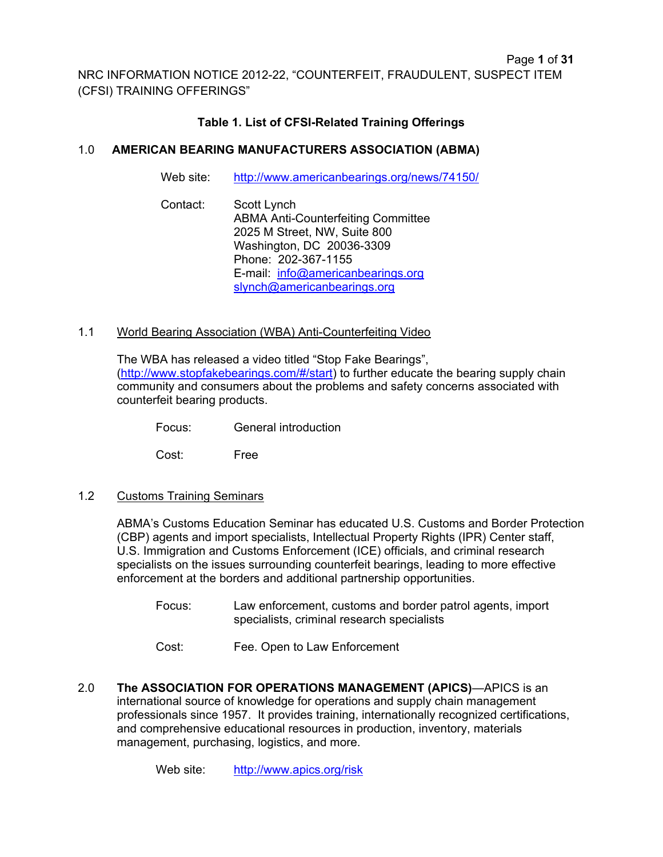## **Table 1. List of CFSI-Related Training Offerings**

## 1.0 **AMERICAN BEARING MANUFACTURERS ASSOCIATION (ABMA)**

Web site: http://www.americanbearings.org/news/74150/

Contact: Scott Lynch ABMA Anti-Counterfeiting Committee 2025 M Street, NW, Suite 800 Washington, DC 20036-3309 Phone: 202-367-1155 E-mail: info@americanbearings.org slynch@americanbearings.org

#### 1.1 World Bearing Association (WBA) Anti-Counterfeiting Video

The WBA has released a video titled "Stop Fake Bearings", (http://www.stopfakebearings.com/#/start) to further educate the bearing supply chain community and consumers about the problems and safety concerns associated with counterfeit bearing products.

Focus: General introduction

Cost: Free

1.2 Customs Training Seminars

ABMA's Customs Education Seminar has educated U.S. Customs and Border Protection (CBP) agents and import specialists, Intellectual Property Rights (IPR) Center staff, U.S. Immigration and Customs Enforcement (ICE) officials, and criminal research specialists on the issues surrounding counterfeit bearings, leading to more effective enforcement at the borders and additional partnership opportunities.

Focus: Law enforcement, customs and border patrol agents, import specialists, criminal research specialists

Cost: Fee. Open to Law Enforcement

2.0 **The ASSOCIATION FOR OPERATIONS MANAGEMENT (APICS)**—APICS is an international source of knowledge for operations and supply chain management professionals since 1957. It provides training, internationally recognized certifications, and comprehensive educational resources in production, inventory, materials management, purchasing, logistics, and more.

Web site: http://www.apics.org/risk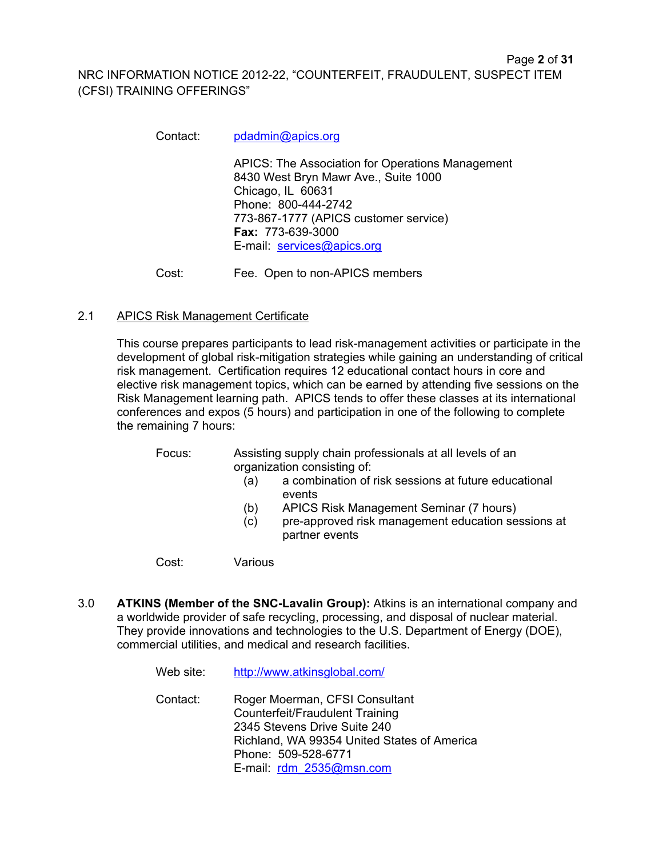Contact: pdadmin@apics.org

APICS: The Association for Operations Management 8430 West Bryn Mawr Ave., Suite 1000 Chicago, IL 60631 Phone: 800-444-2742 773-867-1777 (APICS customer service) **Fax:** 773-639-3000 E-mail: services@apics.org

Page **2** of **31**

Cost: Fee. Open to non-APICS members

## 2.1 APICS Risk Management Certificate

This course prepares participants to lead risk-management activities or participate in the development of global risk-mitigation strategies while gaining an understanding of critical risk management. Certification requires 12 educational contact hours in core and elective risk management topics, which can be earned by attending five sessions on the Risk Management learning path. APICS tends to offer these classes at its international conferences and expos (5 hours) and participation in one of the following to complete the remaining 7 hours:

Focus: Assisting supply chain professionals at all levels of an organization consisting of:

- (a) a combination of risk sessions at future educational events
- (b) APICS Risk Management Seminar (7 hours)
- (c) pre-approved risk management education sessions at partner events

Cost: Various

3.0 **ATKINS (Member of the SNC-Lavalin Group):** Atkins is an international company and a worldwide provider of safe recycling, processing, and disposal of nuclear material. They provide innovations and technologies to the U.S. Department of Energy (DOE), commercial utilities, and medical and research facilities.

| Web site: | http://www.atkinsglobal.com/                                                                                                                                                                               |
|-----------|------------------------------------------------------------------------------------------------------------------------------------------------------------------------------------------------------------|
| Contact:  | Roger Moerman, CFSI Consultant<br><b>Counterfeit/Fraudulent Training</b><br>2345 Stevens Drive Suite 240<br>Richland, WA 99354 United States of America<br>Phone: 509-528-6771<br>E-mail: rdm 2535@msn.com |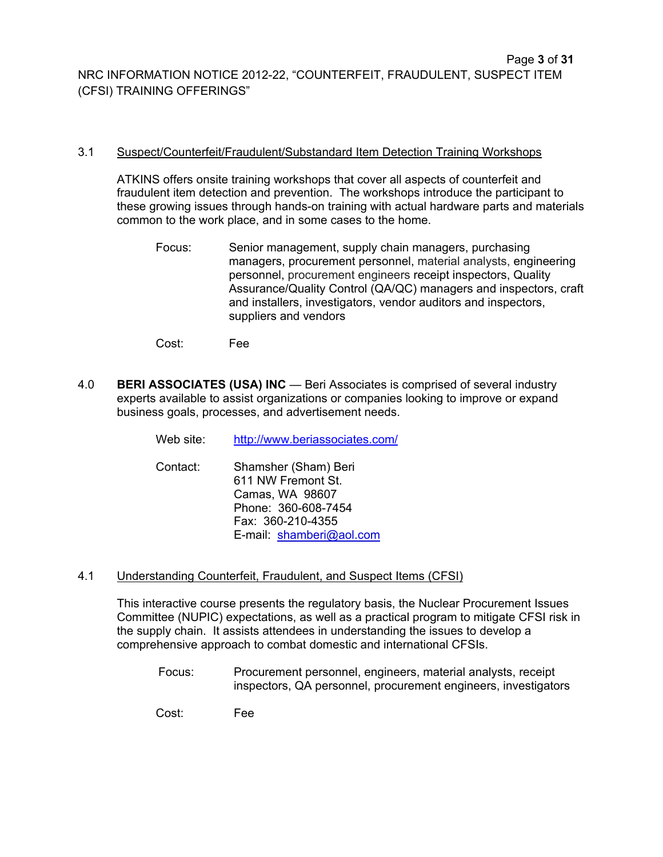#### 3.1 Suspect/Counterfeit/Fraudulent/Substandard Item Detection Training Workshops

ATKINS offers onsite training workshops that cover all aspects of counterfeit and fraudulent item detection and prevention. The workshops introduce the participant to these growing issues through hands-on training with actual hardware parts and materials common to the work place, and in some cases to the home.

Focus: Senior management, supply chain managers, purchasing managers, procurement personnel, material analysts, engineering personnel, procurement engineers receipt inspectors, Quality Assurance/Quality Control (QA/QC) managers and inspectors, craft and installers, investigators, vendor auditors and inspectors, suppliers and vendors

Cost: Fee

4.0 **BERI ASSOCIATES (USA) INC** — Beri Associates is comprised of several industry experts available to assist organizations or companies looking to improve or expand business goals, processes, and advertisement needs.

Web site: http://www.beriassociates.com/

- Contact: Shamsher (Sham) Beri 611 NW Fremont St. Camas, WA 98607 Phone: 360-608-7454 Fax: 360-210-4355 E-mail: shamberi@aol.com
- 4.1 Understanding Counterfeit, Fraudulent, and Suspect Items (CFSI)

This interactive course presents the regulatory basis, the Nuclear Procurement Issues Committee (NUPIC) expectations, as well as a practical program to mitigate CFSI risk in the supply chain. It assists attendees in understanding the issues to develop a comprehensive approach to combat domestic and international CFSIs.

Focus: Procurement personnel, engineers, material analysts, receipt inspectors, QA personnel, procurement engineers, investigators

Cost: Fee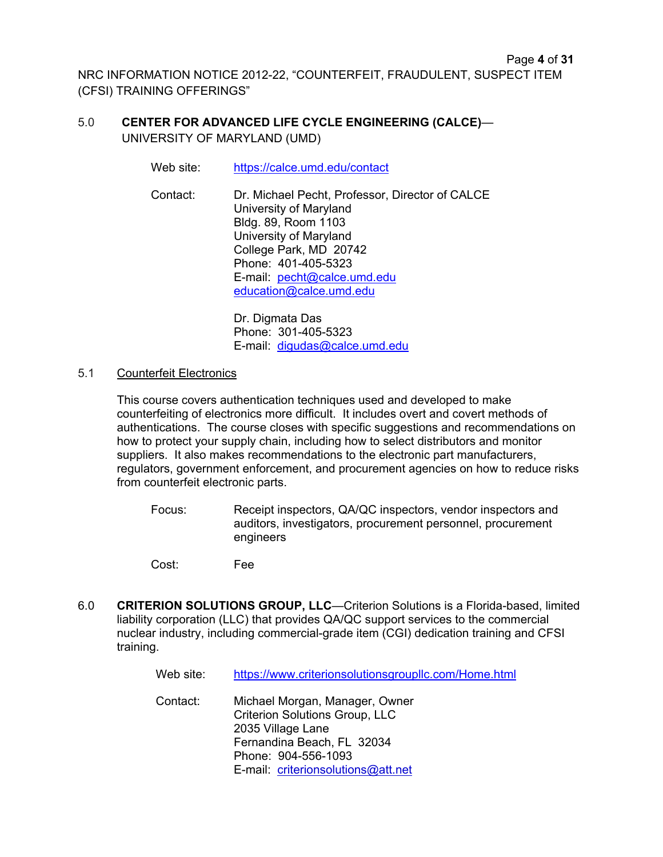## 5.0 **CENTER FOR ADVANCED LIFE CYCLE ENGINEERING (CALCE)**— UNIVERSITY OF MARYLAND (UMD)

Web site: https://calce.umd.edu/contact

Contact: Dr. Michael Pecht, Professor, Director of CALCE University of Maryland Bldg. 89, Room 1103 University of Maryland College Park, MD 20742 Phone: 401-405-5323 E-mail: pecht@calce.umd.edu education@calce.umd.edu

> Dr. Digmata Das Phone: 301-405-5323 E-mail: digudas@calce.umd.edu

#### 5.1 Counterfeit Electronics

This course covers authentication techniques used and developed to make counterfeiting of electronics more difficult. It includes overt and covert methods of authentications. The course closes with specific suggestions and recommendations on how to protect your supply chain, including how to select distributors and monitor suppliers. It also makes recommendations to the electronic part manufacturers, regulators, government enforcement, and procurement agencies on how to reduce risks from counterfeit electronic parts.

- Focus: Receipt inspectors, QA/QC inspectors, vendor inspectors and auditors, investigators, procurement personnel, procurement engineers
- Cost: Fee
- 6.0 **CRITERION SOLUTIONS GROUP, LLC**—Criterion Solutions is a Florida-based, limited liability corporation (LLC) that provides QA/QC support services to the commercial nuclear industry, including commercial-grade item (CGI) dedication training and CFSI training.

| Web site: | https://www.criterionsolutionsgroupllc.com/Home.html                                                                                              |
|-----------|---------------------------------------------------------------------------------------------------------------------------------------------------|
| Contact:  | Michael Morgan, Manager, Owner<br><b>Criterion Solutions Group, LLC</b><br>2035 Village Lane<br>Fernandina Beach, FL 32034<br>Phone: 904-556-1093 |
|           | E-mail: criterionsolutions@att.net                                                                                                                |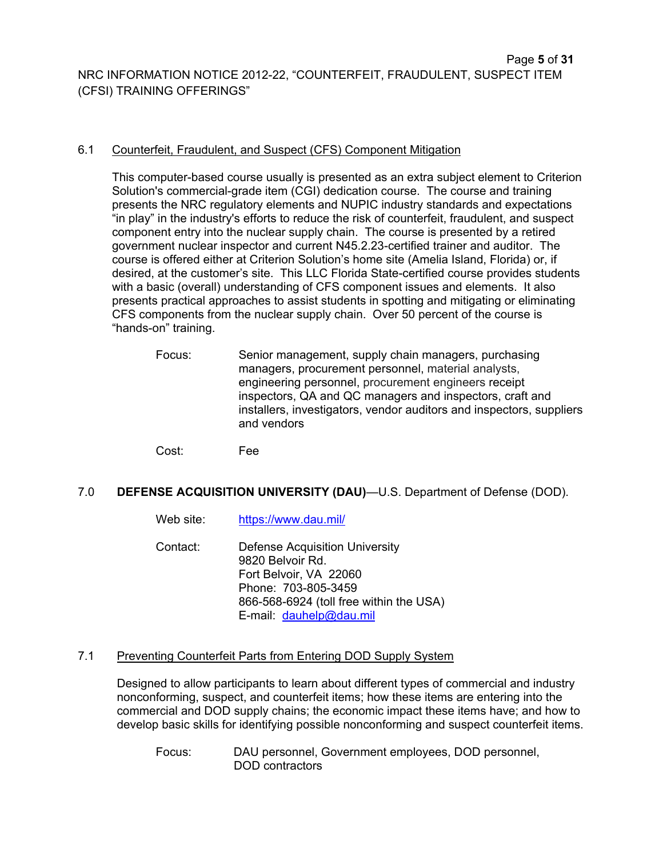#### 6.1 Counterfeit, Fraudulent, and Suspect (CFS) Component Mitigation

This computer-based course usually is presented as an extra subject element to Criterion Solution's commercial-grade item (CGI) dedication course. The course and training presents the NRC regulatory elements and NUPIC industry standards and expectations "in play" in the industry's efforts to reduce the risk of counterfeit, fraudulent, and suspect component entry into the nuclear supply chain. The course is presented by a retired government nuclear inspector and current N45.2.23-certified trainer and auditor. The course is offered either at Criterion Solution's home site (Amelia Island, Florida) or, if desired, at the customer's site. This LLC Florida State-certified course provides students with a basic (overall) understanding of CFS component issues and elements. It also presents practical approaches to assist students in spotting and mitigating or eliminating CFS components from the nuclear supply chain. Over 50 percent of the course is "hands-on" training.

- Focus: Senior management, supply chain managers, purchasing managers, procurement personnel, material analysts, engineering personnel, procurement engineers receipt inspectors, QA and QC managers and inspectors, craft and installers, investigators, vendor auditors and inspectors, suppliers and vendors
- Cost: Fee

## 7.0 **DEFENSE ACQUISITION UNIVERSITY (DAU)**—U.S. Department of Defense (DOD).

- Web site: https://www.dau.mil/
- Contact: Defense Acquisition University 9820 Belvoir Rd. Fort Belvoir, VA 22060 Phone: 703-805-3459 866-568-6924 (toll free within the USA) E-mail: dauhelp@dau.mil

## 7.1 Preventing Counterfeit Parts from Entering DOD Supply System

Designed to allow participants to learn about different types of commercial and industry nonconforming, suspect, and counterfeit items; how these items are entering into the commercial and DOD supply chains; the economic impact these items have; and how to develop basic skills for identifying possible nonconforming and suspect counterfeit items.

Focus: DAU personnel, Government employees, DOD personnel, DOD contractors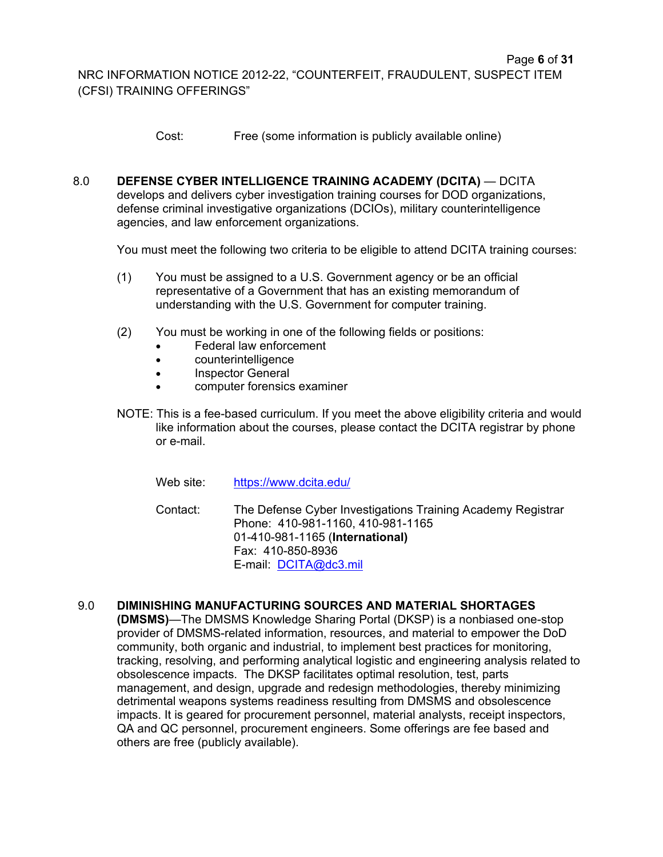Cost: Free (some information is publicly available online)

8.0 **DEFENSE CYBER INTELLIGENCE TRAINING ACADEMY (DCITA)** — DCITA develops and delivers cyber investigation training courses for DOD organizations, defense criminal investigative organizations (DCIOs), military counterintelligence agencies, and law enforcement organizations.

You must meet the following two criteria to be eligible to attend DCITA training courses:

- (1) You must be assigned to a U.S. Government agency or be an official representative of a Government that has an existing memorandum of understanding with the U.S. Government for computer training.
- (2) You must be working in one of the following fields or positions:
	- Federal law enforcement
	- counterintelligence
	- Inspector General
	- computer forensics examiner
- NOTE: This is a fee-based curriculum. If you meet the above eligibility criteria and would like information about the courses, please contact the DCITA registrar by phone or e-mail.
	- Web site: https://www.dcita.edu/

Contact: The Defense Cyber Investigations Training Academy Registrar Phone: 410-981-1160, 410-981-1165 01-410-981-1165 (**International)**  Fax: 410-850-8936 E-mail: DCITA@dc3.mil

## 9.0 **DIMINISHING MANUFACTURING SOURCES AND MATERIAL SHORTAGES**

**(DMSMS)**—The DMSMS Knowledge Sharing Portal (DKSP) is a nonbiased one-stop provider of DMSMS-related information, resources, and material to empower the DoD community, both organic and industrial, to implement best practices for monitoring, tracking, resolving, and performing analytical logistic and engineering analysis related to obsolescence impacts. The DKSP facilitates optimal resolution, test, parts management, and design, upgrade and redesign methodologies, thereby minimizing detrimental weapons systems readiness resulting from DMSMS and obsolescence impacts. It is geared for procurement personnel, material analysts, receipt inspectors, QA and QC personnel, procurement engineers. Some offerings are fee based and others are free (publicly available).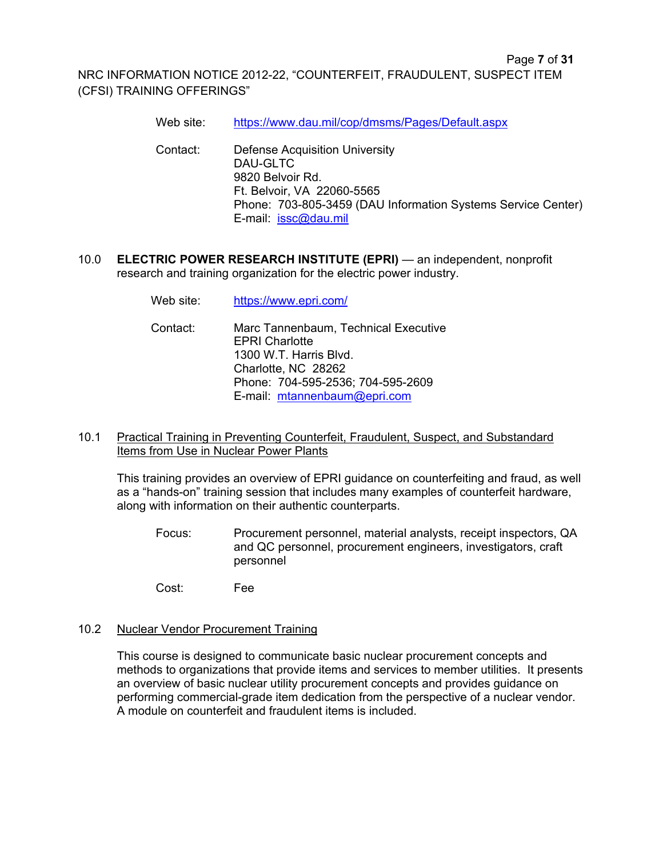- Web site: https://www.dau.mil/cop/dmsms/Pages/Default.aspx
- Contact: Defense Acquisition University DAU-GLTC 9820 Belvoir Rd. Ft. Belvoir, VA 22060-5565 Phone: 703-805-3459 (DAU Information Systems Service Center) E-mail: issc@dau.mil
- 10.0 **ELECTRIC POWER RESEARCH INSTITUTE (EPRI)**  an independent, nonprofit research and training organization for the electric power industry.
	- Web site: https://www.epri.com/
	- Contact: Marc Tannenbaum, Technical Executive EPRI Charlotte 1300 W.T. Harris Blvd. Charlotte, NC 28262 Phone: 704-595-2536; 704-595-2609 E-mail: mtannenbaum@epri.com

#### 10.1Practical Training in Preventing Counterfeit, Fraudulent, Suspect, and Substandard Items from Use in Nuclear Power Plants

This training provides an overview of EPRI guidance on counterfeiting and fraud, as well as a "hands-on" training session that includes many examples of counterfeit hardware, along with information on their authentic counterparts.

Focus: Procurement personnel, material analysts, receipt inspectors, QA and QC personnel, procurement engineers, investigators, craft personnel

Cost: Fee

#### 10.2 Nuclear Vendor Procurement Training

This course is designed to communicate basic nuclear procurement concepts and methods to organizations that provide items and services to member utilities. It presents an overview of basic nuclear utility procurement concepts and provides guidance on performing commercial-grade item dedication from the perspective of a nuclear vendor. A module on counterfeit and fraudulent items is included.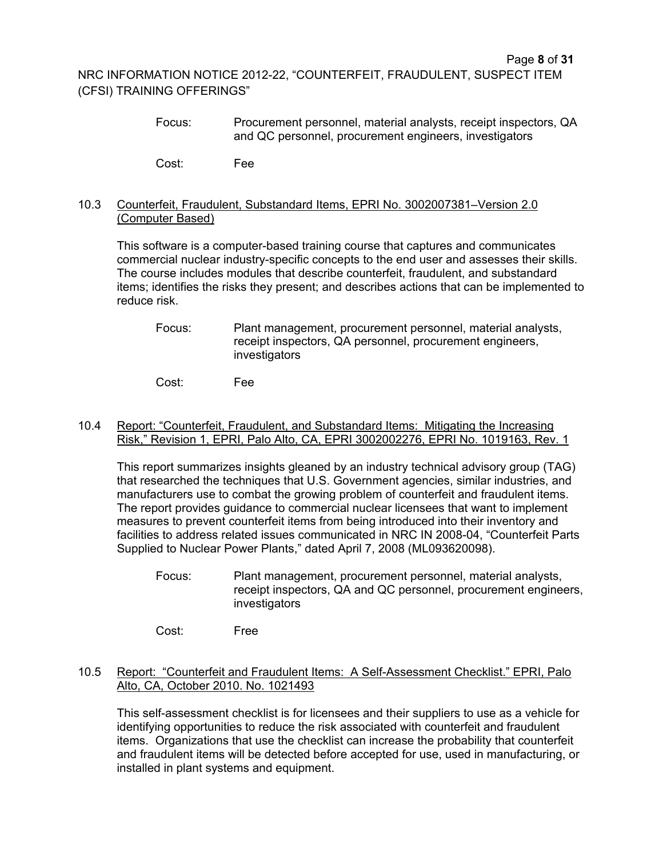Focus: Procurement personnel, material analysts, receipt inspectors, QA and QC personnel, procurement engineers, investigators

Cost: Fee

#### 10.3 Counterfeit, Fraudulent, Substandard Items, EPRI No. 3002007381–Version 2.0 (Computer Based)

This software is a computer-based training course that captures and communicates commercial nuclear industry-specific concepts to the end user and assesses their skills. The course includes modules that describe counterfeit, fraudulent, and substandard items; identifies the risks they present; and describes actions that can be implemented to reduce risk.

Focus: Plant management, procurement personnel, material analysts, receipt inspectors, QA personnel, procurement engineers, investigators

Cost: Fee

#### 10.4 Report: "Counterfeit, Fraudulent, and Substandard Items: Mitigating the Increasing Risk," Revision 1, EPRI, Palo Alto, CA, EPRI 3002002276, EPRI No. 1019163, Rev. 1

This report summarizes insights gleaned by an industry technical advisory group (TAG) that researched the techniques that U.S. Government agencies, similar industries, and manufacturers use to combat the growing problem of counterfeit and fraudulent items. The report provides guidance to commercial nuclear licensees that want to implement measures to prevent counterfeit items from being introduced into their inventory and facilities to address related issues communicated in NRC IN 2008-04, "Counterfeit Parts Supplied to Nuclear Power Plants," dated April 7, 2008 (ML093620098).

- Focus: Plant management, procurement personnel, material analysts, receipt inspectors, QA and QC personnel, procurement engineers, investigators
- Cost: Free

#### 10.5 Report: "Counterfeit and Fraudulent Items: A Self-Assessment Checklist." EPRI, Palo Alto, CA, October 2010. No. 1021493

This self-assessment checklist is for licensees and their suppliers to use as a vehicle for identifying opportunities to reduce the risk associated with counterfeit and fraudulent items. Organizations that use the checklist can increase the probability that counterfeit and fraudulent items will be detected before accepted for use, used in manufacturing, or installed in plant systems and equipment.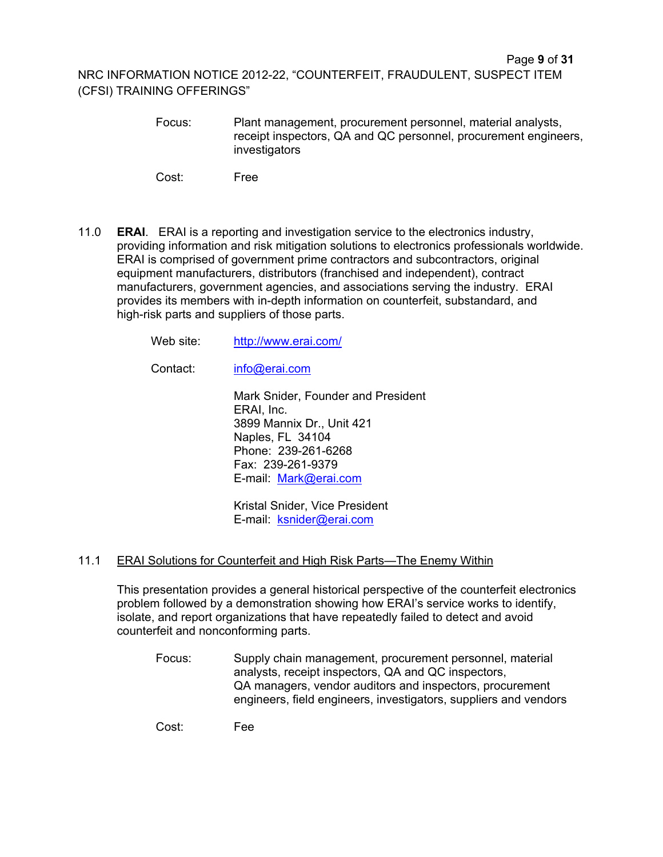Focus: Plant management, procurement personnel, material analysts, receipt inspectors, QA and QC personnel, procurement engineers, investigators

Cost: Free

11.0 **ERAI**. ERAI is a reporting and investigation service to the electronics industry, providing information and risk mitigation solutions to electronics professionals worldwide. ERAI is comprised of government prime contractors and subcontractors, original equipment manufacturers, distributors (franchised and independent), contract manufacturers, government agencies, and associations serving the industry. ERAI provides its members with in-depth information on counterfeit, substandard, and high-risk parts and suppliers of those parts.

Web site: http://www.erai.com/

Contact: info@erai.com

Mark Snider, Founder and President ERAI, Inc. 3899 Mannix Dr., Unit 421 Naples, FL 34104 Phone: 239-261-6268 Fax: 239-261-9379 E-mail: Mark@erai.com

Kristal Snider, Vice President E-mail: ksnider@erai.com

## 11.1 ERAI Solutions for Counterfeit and High Risk Parts—The Enemy Within

This presentation provides a general historical perspective of the counterfeit electronics problem followed by a demonstration showing how ERAI's service works to identify, isolate, and report organizations that have repeatedly failed to detect and avoid counterfeit and nonconforming parts.

Focus: Supply chain management, procurement personnel, material analysts, receipt inspectors, QA and QC inspectors, QA managers, vendor auditors and inspectors, procurement engineers, field engineers, investigators, suppliers and vendors

Cost: Fee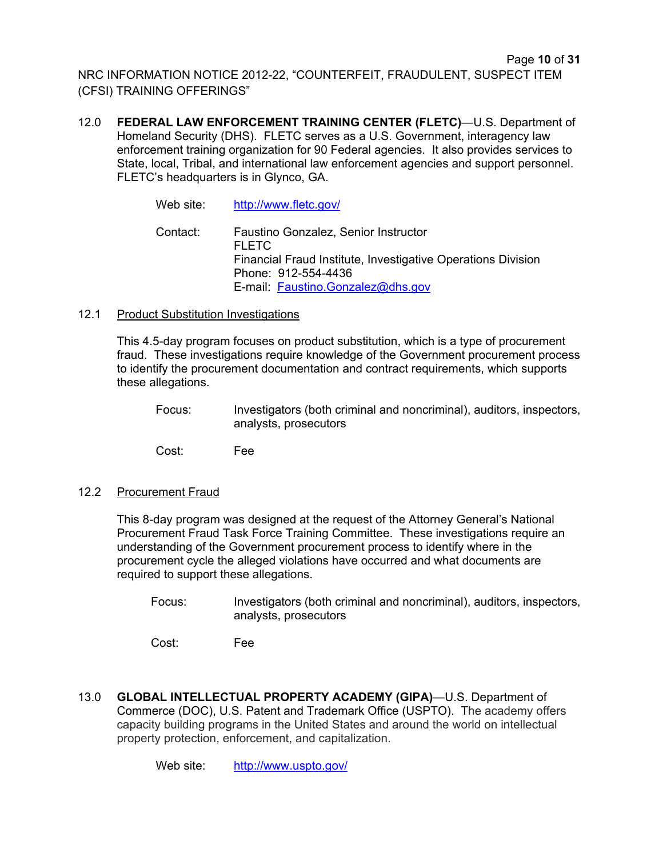12.0 **FEDERAL LAW ENFORCEMENT TRAINING CENTER (FLETC)**—U.S. Department of Homeland Security (DHS). FLETC serves as a U.S. Government, interagency law enforcement training organization for 90 Federal agencies. It also provides services to State, local, Tribal, and international law enforcement agencies and support personnel. FLETC's headquarters is in Glynco, GA.

> Web site: http://www.fletc.gov/ Contact: Faustino Gonzalez, Senior Instructor FLETC Financial Fraud Institute, Investigative Operations Division Phone: 912-554-4436 E-mail: Faustino.Gonzalez@dhs.gov

#### 12.1 Product Substitution Investigations

This 4.5-day program focuses on product substitution, which is a type of procurement fraud. These investigations require knowledge of the Government procurement process to identify the procurement documentation and contract requirements, which supports these allegations.

Focus: Investigators (both criminal and noncriminal), auditors, inspectors, analysts, prosecutors

Cost: Fee

## 12.2 Procurement Fraud

This 8-day program was designed at the request of the Attorney General's National Procurement Fraud Task Force Training Committee. These investigations require an understanding of the Government procurement process to identify where in the procurement cycle the alleged violations have occurred and what documents are required to support these allegations.

Focus: Investigators (both criminal and noncriminal), auditors, inspectors, analysts, prosecutors

Cost: Fee

13.0 **GLOBAL INTELLECTUAL PROPERTY ACADEMY (GIPA)**—U.S. Department of Commerce (DOC), U.S. Patent and Trademark Office (USPTO). The academy offers capacity building programs in the United States and around the world on intellectual property protection, enforcement, and capitalization.

Web site: http://www.uspto.gov/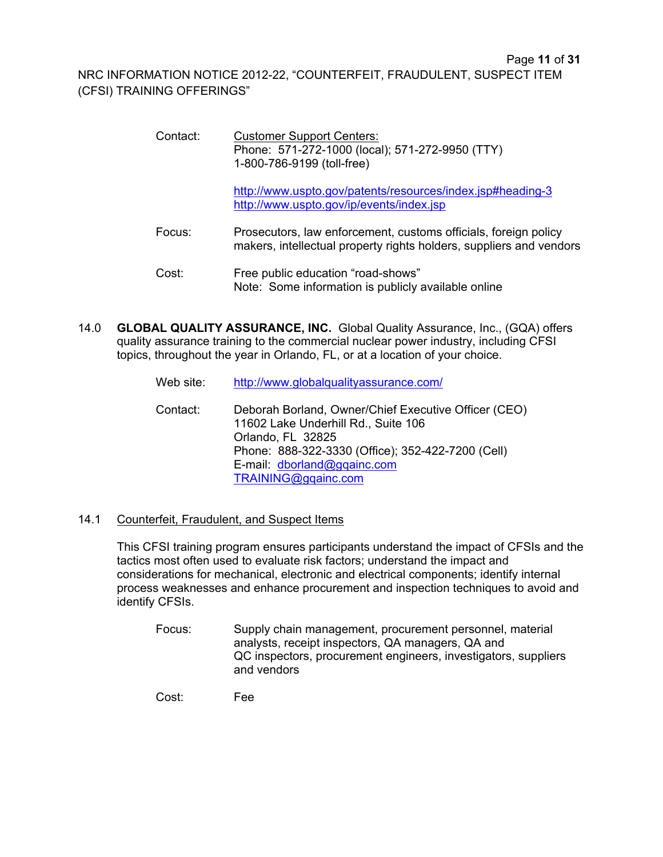| Contact: | <b>Customer Support Centers:</b><br>Phone: 571-272-1000 (local); 571-272-9950 (TTY)<br>1-800-786-9199 (toll-free)                      |
|----------|----------------------------------------------------------------------------------------------------------------------------------------|
|          | http://www.uspto.gov/patents/resources/index.jsp#heading-3<br>http://www.uspto.gov/ip/events/index.jsp                                 |
| Focus:   | Prosecutors, law enforcement, customs officials, foreign policy<br>makers, intellectual property rights holders, suppliers and vendors |
| Cost:    | Free public education "road-shows"<br>Note: Some information is publicly available online                                              |

14.0 **GLOBAL QUALITY ASSURANCE, INC.** Global Quality Assurance, Inc., (GQA) offers quality assurance training to the commercial nuclear power industry, including CFSI topics, throughout the year in Orlando, FL, or at a location of your choice.

| Web site: | http://www.globalqualityassurance.com/                                                                                                                                                                                      |
|-----------|-----------------------------------------------------------------------------------------------------------------------------------------------------------------------------------------------------------------------------|
| Contact:  | Deborah Borland, Owner/Chief Executive Officer (CEO)<br>11602 Lake Underhill Rd., Suite 106<br>Orlando, FL 32825<br>Phone: 888-322-3330 (Office); 352-422-7200 (Cell)<br>E-mail: dborland@gqainc.com<br>TRAINING@gqainc.com |

## 14.1 Counterfeit, Fraudulent, and Suspect Items

This CFSI training program ensures participants understand the impact of CFSIs and the tactics most often used to evaluate risk factors; understand the impact and considerations for mechanical, electronic and electrical components; identify internal process weaknesses and enhance procurement and inspection techniques to avoid and identify CFSIs.

Focus: Supply chain management, procurement personnel, material analysts, receipt inspectors, QA managers, QA and QC inspectors, procurement engineers, investigators, suppliers and vendors

Cost: Fee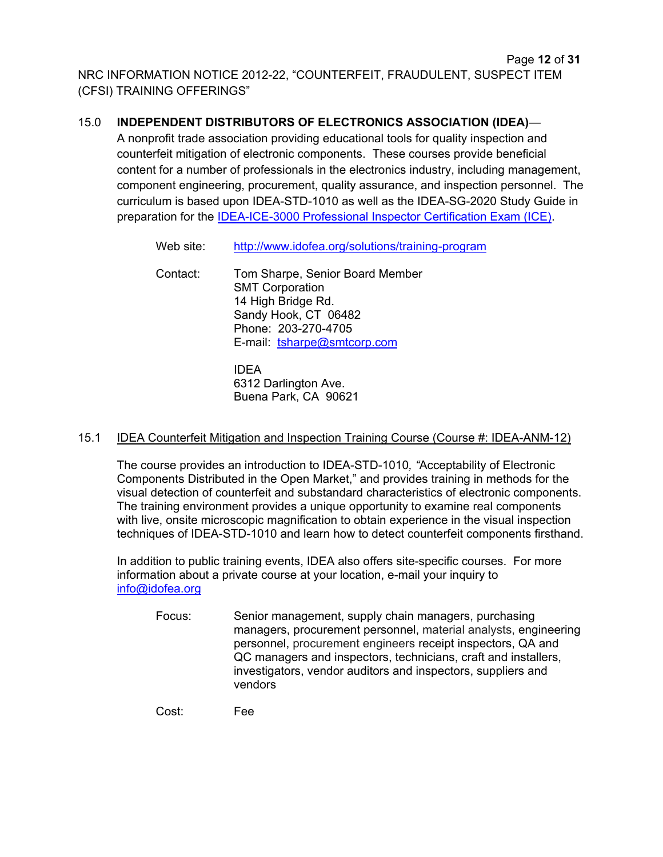## 15.0 **INDEPENDENT DISTRIBUTORS OF ELECTRONICS ASSOCIATION (IDEA)**—

A nonprofit trade association providing educational tools for quality inspection and counterfeit mitigation of electronic components. These courses provide beneficial content for a number of professionals in the electronics industry, including management, component engineering, procurement, quality assurance, and inspection personnel. The curriculum is based upon IDEA-STD-1010 as well as the IDEA-SG-2020 Study Guide in preparation for the IDEA-ICE-3000 Professional Inspector Certification Exam (ICE).

| Web site: | http://www.idofea.org/solutions/training-program                                                                                                              |
|-----------|---------------------------------------------------------------------------------------------------------------------------------------------------------------|
| Contact:  | Tom Sharpe, Senior Board Member<br><b>SMT Corporation</b><br>14 High Bridge Rd.<br>Sandy Hook, CT 06482<br>Phone: 203-270-4705<br>E-mail: tsharpe@smtcorp.com |
|           | IN ⊏ ∧                                                                                                                                                        |

IDEA 6312 Darlington Ave. Buena Park, CA 90621

## 15.1 IDEA Counterfeit Mitigation and Inspection Training Course (Course #: IDEA-ANM-12)

The course provides an introduction to IDEA-STD-1010*, "*Acceptability of Electronic Components Distributed in the Open Market," and provides training in methods for the visual detection of counterfeit and substandard characteristics of electronic components. The training environment provides a unique opportunity to examine real components with live, onsite microscopic magnification to obtain experience in the visual inspection techniques of IDEA-STD-1010 and learn how to detect counterfeit components firsthand.

In addition to public training events, IDEA also offers site-specific courses. For more information about a private course at your location, e-mail your inquiry to info@idofea.org

Focus: Senior management, supply chain managers, purchasing managers, procurement personnel, material analysts, engineering personnel, procurement engineers receipt inspectors, QA and QC managers and inspectors, technicians, craft and installers, investigators, vendor auditors and inspectors, suppliers and vendors

Cost: Fee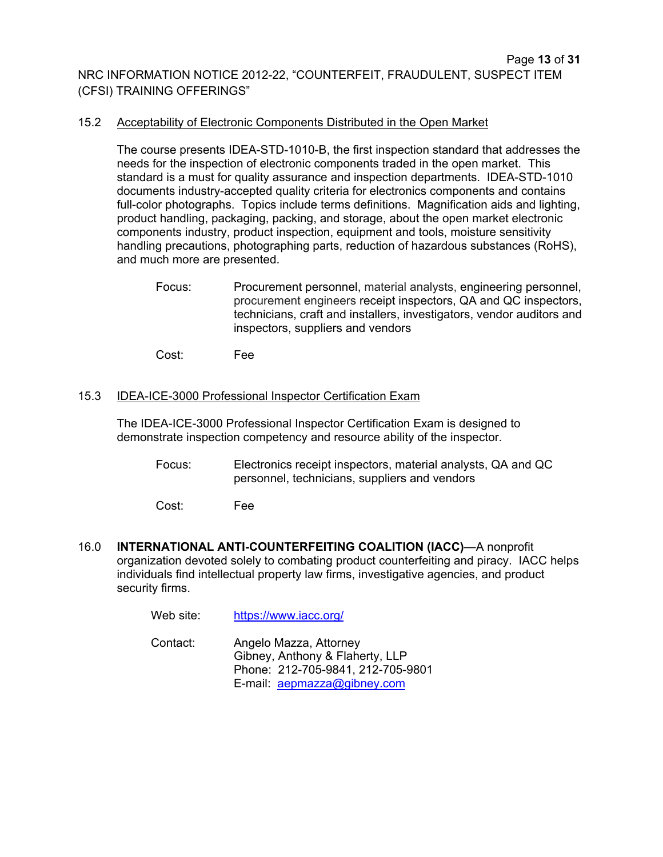#### 15.2 Acceptability of Electronic Components Distributed in the Open Market

The course presents IDEA-STD-1010-B, the first inspection standard that addresses the needs for the inspection of electronic components traded in the open market. This standard is a must for quality assurance and inspection departments. IDEA-STD-1010 documents industry-accepted quality criteria for electronics components and contains full-color photographs. Topics include terms definitions. Magnification aids and lighting, product handling, packaging, packing, and storage, about the open market electronic components industry, product inspection, equipment and tools, moisture sensitivity handling precautions, photographing parts, reduction of hazardous substances (RoHS), and much more are presented.

Focus: Procurement personnel, material analysts, engineering personnel, procurement engineers receipt inspectors, QA and QC inspectors, technicians, craft and installers, investigators, vendor auditors and inspectors, suppliers and vendors

Cost: Fee

#### 15.3 IDEA-ICE-3000 Professional Inspector Certification Exam

The IDEA-ICE-3000 Professional Inspector Certification Exam is designed to demonstrate inspection competency and resource ability of the inspector.

Focus: Electronics receipt inspectors, material analysts, QA and QC personnel, technicians, suppliers and vendors

Cost: Fee

16.0 **INTERNATIONAL ANTI-COUNTERFEITING COALITION (IACC)**—A nonprofit organization devoted solely to combating product counterfeiting and piracy. IACC helps individuals find intellectual property law firms, investigative agencies, and product security firms.

Web site: https://www.iacc.org/

Contact: Angelo Mazza, Attorney Gibney, Anthony & Flaherty, LLP Phone: 212-705-9841, 212-705-9801 E-mail: aepmazza@gibney.com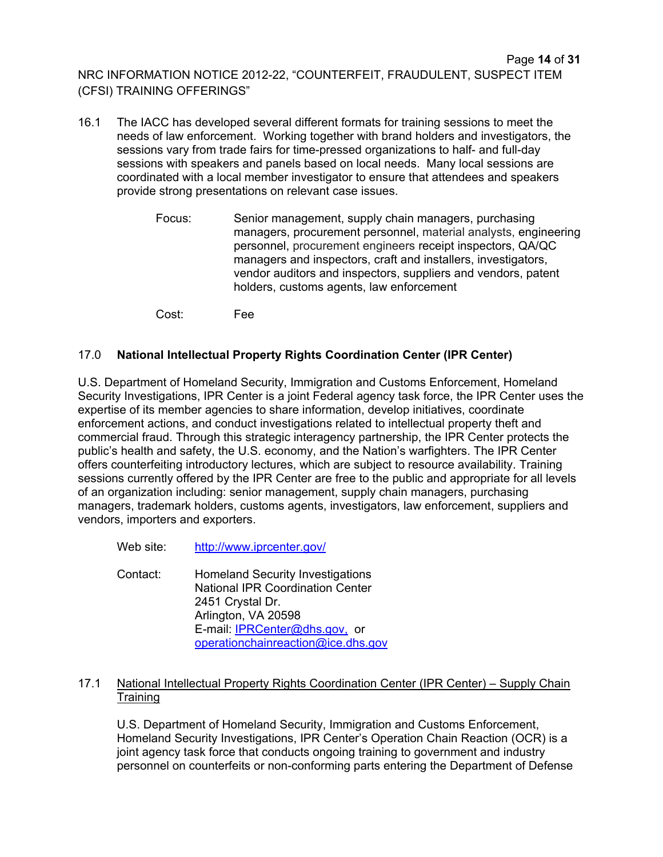- 16.1 The IACC has developed several different formats for training sessions to meet the needs of law enforcement. Working together with brand holders and investigators, the sessions vary from trade fairs for time-pressed organizations to half- and full-day sessions with speakers and panels based on local needs. Many local sessions are coordinated with a local member investigator to ensure that attendees and speakers provide strong presentations on relevant case issues.
	- Focus: Senior management, supply chain managers, purchasing managers, procurement personnel, material analysts, engineering personnel, procurement engineers receipt inspectors, QA/QC managers and inspectors, craft and installers, investigators, vendor auditors and inspectors, suppliers and vendors, patent holders, customs agents, law enforcement

Cost: Fee

## 17.0 **National Intellectual Property Rights Coordination Center (IPR Center)**

U.S. Department of Homeland Security, Immigration and Customs Enforcement, Homeland Security Investigations, IPR Center is a joint Federal agency task force, the IPR Center uses the expertise of its member agencies to share information, develop initiatives, coordinate enforcement actions, and conduct investigations related to intellectual property theft and commercial fraud. Through this strategic interagency partnership, the IPR Center protects the public's health and safety, the U.S. economy, and the Nation's warfighters. The IPR Center offers counterfeiting introductory lectures, which are subject to resource availability. Training sessions currently offered by the IPR Center are free to the public and appropriate for all levels of an organization including: senior management, supply chain managers, purchasing managers, trademark holders, customs agents, investigators, law enforcement, suppliers and vendors, importers and exporters.

Web site: http://www.iprcenter.gov/

Contact: Homeland Security Investigations National IPR Coordination Center 2451 Crystal Dr. Arlington, VA 20598 E-mail: IPRCenter@dhs.gov, or operationchainreaction@ice.dhs.gov

## 17.1 National Intellectual Property Rights Coordination Center (IPR Center) – Supply Chain **Training**

U.S. Department of Homeland Security, Immigration and Customs Enforcement, Homeland Security Investigations, IPR Center's Operation Chain Reaction (OCR) is a joint agency task force that conducts ongoing training to government and industry personnel on counterfeits or non-conforming parts entering the Department of Defense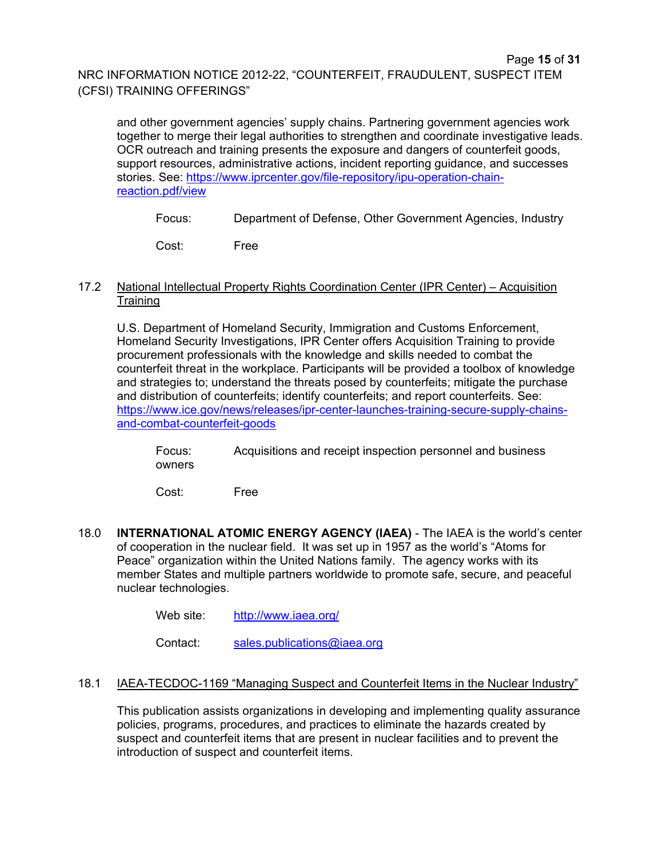and other government agencies' supply chains. Partnering government agencies work together to merge their legal authorities to strengthen and coordinate investigative leads. OCR outreach and training presents the exposure and dangers of counterfeit goods, support resources, administrative actions, incident reporting guidance, and successes stories. See: https://www.iprcenter.gov/file-repository/ipu-operation-chainreaction.pdf/view

Focus: Department of Defense, Other Government Agencies, Industry

Cost: Free

#### 17.2 National Intellectual Property Rights Coordination Center (IPR Center) – Acquisition **Training**

U.S. Department of Homeland Security, Immigration and Customs Enforcement, Homeland Security Investigations, IPR Center offers Acquisition Training to provide procurement professionals with the knowledge and skills needed to combat the counterfeit threat in the workplace. Participants will be provided a toolbox of knowledge and strategies to; understand the threats posed by counterfeits; mitigate the purchase and distribution of counterfeits; identify counterfeits; and report counterfeits. See: https://www.ice.gov/news/releases/ipr-center-launches-training-secure-supply-chainsand-combat-counterfeit-goods

Focus: Acquisitions and receipt inspection personnel and business owners

Cost: Free

18.0 **INTERNATIONAL ATOMIC ENERGY AGENCY (IAEA)** - The IAEA is the world's center of cooperation in the nuclear field. It was set up in 1957 as the world's "Atoms for Peace" organization within the United Nations family. The agency works with its member States and multiple partners worldwide to promote safe, secure, and peaceful nuclear technologies.

Web site: http://www.iaea.org/

Contact: sales.publications@iaea.org

## 18.1 IAEA-TECDOC-1169 "Managing Suspect and Counterfeit Items in the Nuclear Industry"

This publication assists organizations in developing and implementing quality assurance policies, programs, procedures, and practices to eliminate the hazards created by suspect and counterfeit items that are present in nuclear facilities and to prevent the introduction of suspect and counterfeit items.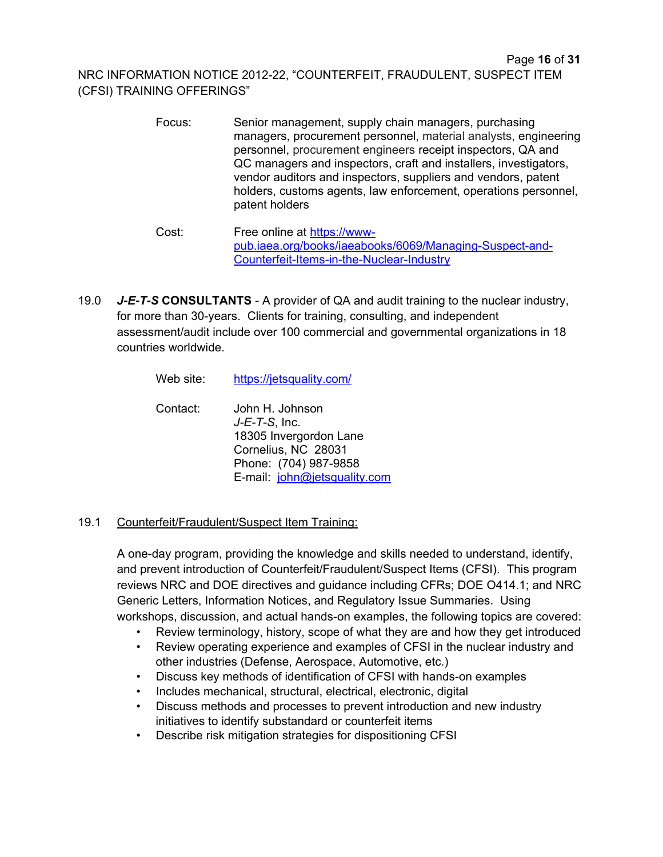- Focus: Senior management, supply chain managers, purchasing managers, procurement personnel, material analysts, engineering personnel, procurement engineers receipt inspectors, QA and QC managers and inspectors, craft and installers, investigators, vendor auditors and inspectors, suppliers and vendors, patent holders, customs agents, law enforcement, operations personnel, patent holders
- Cost: Free online at https://wwwpub.iaea.org/books/iaeabooks/6069/Managing-Suspect-and-Counterfeit-Items-in-the-Nuclear-Industry
- 19.0 *J-E-T-S* **CONSULTANTS**  A provider of QA and audit training to the nuclear industry, for more than 30-years. Clients for training, consulting, and independent assessment/audit include over 100 commercial and governmental organizations in 18 countries worldwide.

| Web site: | https://jetsquality.com/                                                                                                                      |
|-----------|-----------------------------------------------------------------------------------------------------------------------------------------------|
| Contact:  | John H. Johnson<br>$J-E-T-S$ , Inc.<br>18305 Invergordon Lane<br>Cornelius, NC 28031<br>Phone: (704) 987-9858<br>E-mail: john@jetsquality.com |

## 19.1 Counterfeit/Fraudulent/Suspect Item Training:

A one-day program, providing the knowledge and skills needed to understand, identify, and prevent introduction of Counterfeit/Fraudulent/Suspect Items (CFSI). This program reviews NRC and DOE directives and guidance including CFRs; DOE O414.1; and NRC Generic Letters, Information Notices, and Regulatory Issue Summaries. Using workshops, discussion, and actual hands-on examples, the following topics are covered:

- Review terminology, history, scope of what they are and how they get introduced
- Review operating experience and examples of CFSI in the nuclear industry and other industries (Defense, Aerospace, Automotive, etc.)
- Discuss key methods of identification of CFSI with hands-on examples
- Includes mechanical, structural, electrical, electronic, digital
- Discuss methods and processes to prevent introduction and new industry initiatives to identify substandard or counterfeit items
- Describe risk mitigation strategies for dispositioning CFSI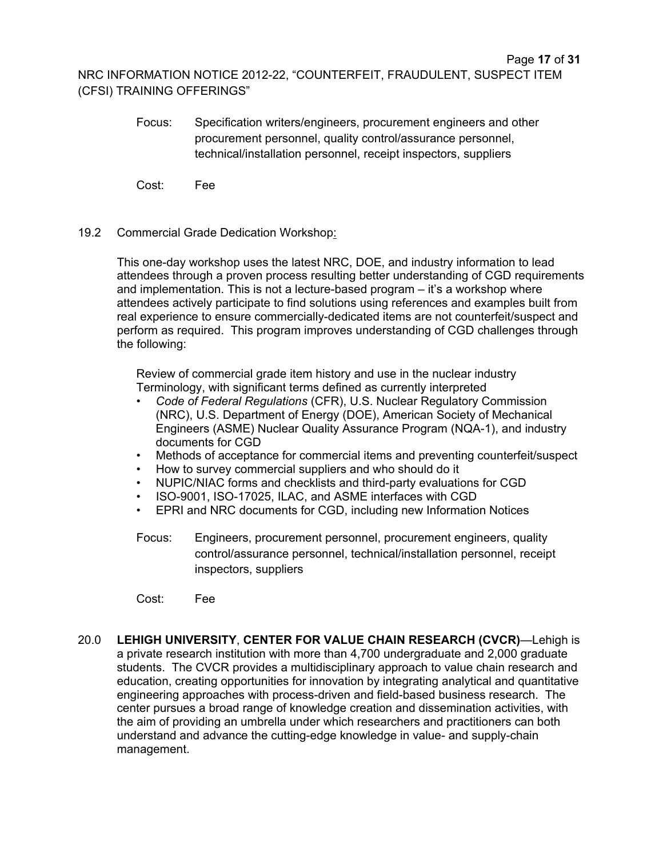- Focus:Specification writers/engineers, procurement engineers and other procurement personnel, quality control/assurance personnel, technical/installation personnel, receipt inspectors, suppliers
- Cost:Fee
- 19.2 Commercial Grade Dedication Workshop:

This one-day workshop uses the latest NRC, DOE, and industry information to lead attendees through a proven process resulting better understanding of CGD requirements and implementation. This is not a lecture-based program – it's a workshop where attendees actively participate to find solutions using references and examples built from real experience to ensure commercially-dedicated items are not counterfeit/suspect and perform as required. This program improves understanding of CGD challenges through the following:

Review of commercial grade item history and use in the nuclear industry Terminology, with significant terms defined as currently interpreted

- *Code of Federal Regulations* (CFR), U.S. Nuclear Regulatory Commission (NRC), U.S. Department of Energy (DOE), American Society of Mechanical Engineers (ASME) Nuclear Quality Assurance Program (NQA-1), and industry documents for CGD
- Methods of acceptance for commercial items and preventing counterfeit/suspect
- How to survey commercial suppliers and who should do it
- NUPIC/NIAC forms and checklists and third-party evaluations for CGD
- ISO-9001, ISO-17025, ILAC, and ASME interfaces with CGD
- EPRI and NRC documents for CGD, including new Information Notices
- Focus: Engineers, procurement personnel, procurement engineers, quality control/assurance personnel, technical/installation personnel, receipt inspectors, suppliers
- Cost: Fee
- 20.0 **LEHIGH UNIVERSITY**, **CENTER FOR VALUE CHAIN RESEARCH (CVCR)**—Lehigh is a private research institution with more than 4,700 undergraduate and 2,000 graduate students. The CVCR provides a multidisciplinary approach to value chain research and education, creating opportunities for innovation by integrating analytical and quantitative engineering approaches with process-driven and field-based business research. The center pursues a broad range of knowledge creation and dissemination activities, with the aim of providing an umbrella under which researchers and practitioners can both understand and advance the cutting-edge knowledge in value- and supply-chain management.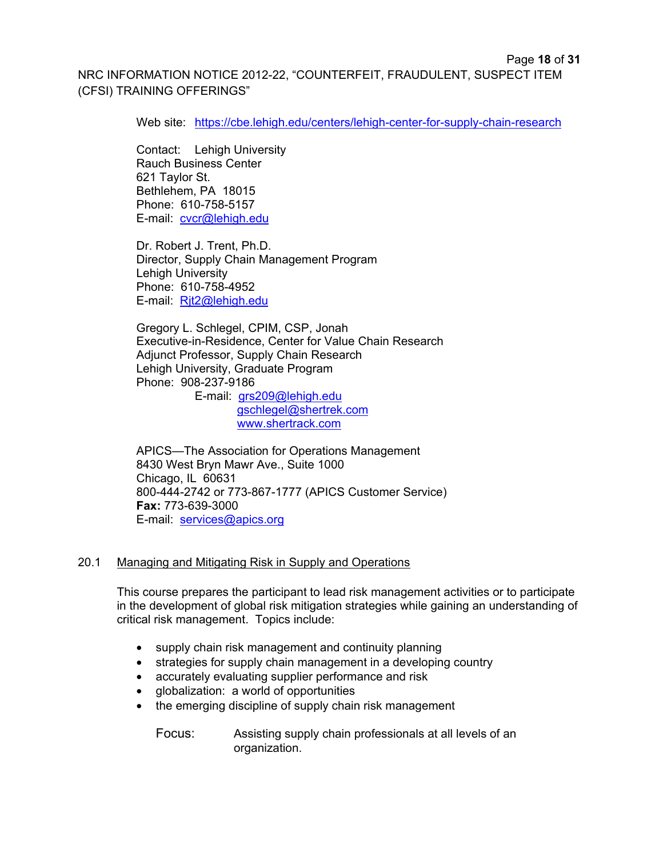Web site: https://cbe.lehigh.edu/centers/lehigh-center-for-supply-chain-research

Contact: Lehigh University Rauch Business Center 621 Taylor St. Bethlehem, PA 18015 Phone: 610-758-5157 E-mail: cvcr@lehigh.edu

Dr. Robert J. Trent, Ph.D. Director, Supply Chain Management Program Lehigh University Phone: 610-758-4952 E-mail: Rjt2@lehigh.edu

Gregory L. Schlegel, CPIM, CSP, Jonah Executive-in-Residence, Center for Value Chain Research Adjunct Professor, Supply Chain Research Lehigh University, Graduate Program Phone: 908-237-9186 E-mail: grs209@lehigh.edu

gschlegel@shertrek.com www.shertrack.com

APICS—The Association for Operations Management 8430 West Bryn Mawr Ave., Suite 1000 Chicago, IL 60631 800-444-2742 or 773-867-1777 (APICS Customer Service) **Fax:** 773-639-3000 E-mail: services@apics.org

#### 20.1 Managing and Mitigating Risk in Supply and Operations

This course prepares the participant to lead risk management activities or to participate in the development of global risk mitigation strategies while gaining an understanding of critical risk management. Topics include:

- supply chain risk management and continuity planning
- strategies for supply chain management in a developing country
- accurately evaluating supplier performance and risk
- globalization: a world of opportunities
- the emerging discipline of supply chain risk management
	- Focus: Assisting supply chain professionals at all levels of an organization.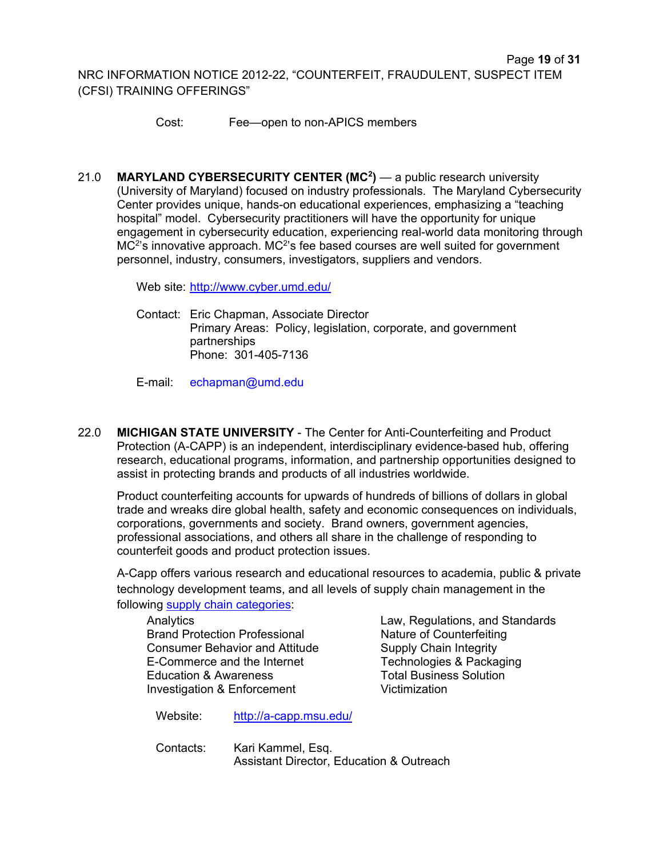Cost: Fee—open to non-APICS members

21.0 **MARYLAND CYBERSECURITY CENTER (MC<sup>2</sup>)** — a public research university (University of Maryland) focused on industry professionals. The Maryland Cybersecurity Center provides unique, hands-on educational experiences, emphasizing a "teaching hospital" model. Cybersecurity practitioners will have the opportunity for unique engagement in cybersecurity education, experiencing real-world data monitoring through  $MC<sup>2</sup>$ 's innovative approach. MC<sup>2</sup>'s fee based courses are well suited for government personnel, industry, consumers, investigators, suppliers and vendors.

Web site: http://www.cyber.umd.edu/

Contact: Eric Chapman, Associate Director Primary Areas: Policy, legislation, corporate, and government partnerships Phone: 301-405-7136

E-mail: echapman@umd.edu

22.0 **MICHIGAN STATE UNIVERSITY** - The Center for Anti-Counterfeiting and Product Protection (A-CAPP) is an independent, interdisciplinary evidence-based hub, offering research, educational programs, information, and partnership opportunities designed to assist in protecting brands and products of all industries worldwide.

Product counterfeiting accounts for upwards of hundreds of billions of dollars in global trade and wreaks dire global health, safety and economic consequences on individuals, corporations, governments and society. Brand owners, government agencies, professional associations, and others all share in the challenge of responding to counterfeit goods and product protection issues.

A-Capp offers various research and educational resources to academia, public & private technology development teams, and all levels of supply chain management in the following supply chain categories:

Analytics **Law, Regulations, and Standards** Brand Protection Professional Nature of Counterfeiting Consumer Behavior and Attitude Supply Chain Integrity<br>E-Commerce and the Internet Technologies & Packaging E-Commerce and the Internet Technologies & Packaging Technologies & Packaging Total Business Solution Education & Awareness Investigation & Enforcement Victimization

Website: http://a-capp.msu.edu/

Contacts: Kari Kammel, Esq. Assistant Director, Education & Outreach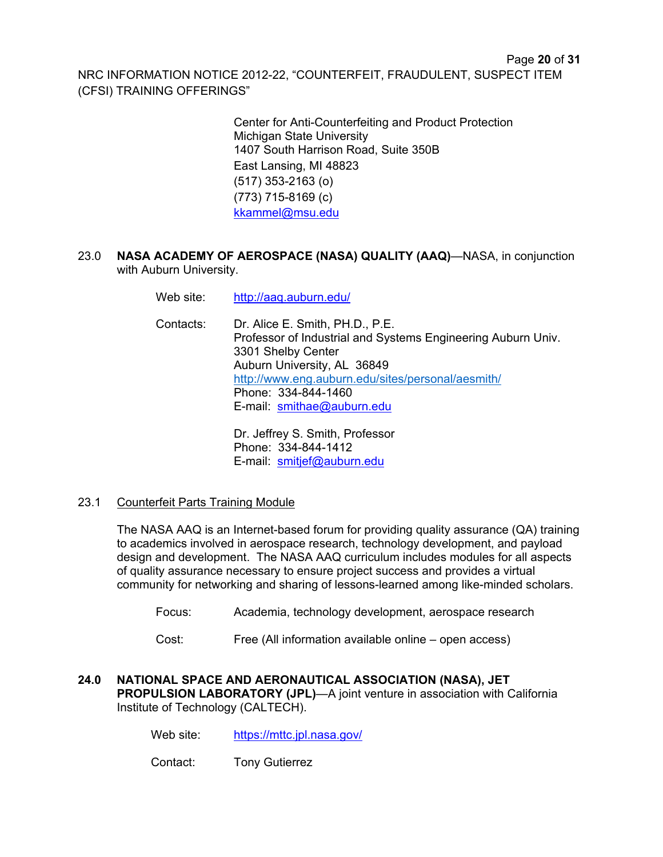> Center for Anti-Counterfeiting and Product Protection Michigan State University 1407 South Harrison Road, Suite 350B East Lansing, MI 48823 (517) 353-2163 (o) (773) 715-8169 (c) kkammel@msu.edu

23.0 **NASA ACADEMY OF AEROSPACE (NASA) QUALITY (AAQ)**—NASA, in conjunction with Auburn University.

Web site: http://aaq.auburn.edu/

Contacts: Dr. Alice E. Smith, PH.D., P.E. Professor of Industrial and Systems Engineering Auburn Univ. 3301 Shelby Center Auburn University, AL 36849 http://www.eng.auburn.edu/sites/personal/aesmith/ Phone: 334-844-1460 E-mail: smithae@auburn.edu

> Dr. Jeffrey S. Smith, Professor Phone: 334-844-1412 E-mail: smitjef@auburn.edu

23.1 Counterfeit Parts Training Module

 The NASA AAQ is an Internet-based forum for providing quality assurance (QA) training to academics involved in aerospace research, technology development, and payload design and development. The NASA AAQ curriculum includes modules for all aspects of quality assurance necessary to ensure project success and provides a virtual community for networking and sharing of lessons-learned among like-minded scholars.

- Focus: Academia, technology development, aerospace research
- Cost: Free (All information available online open access)
- **24.0 NATIONAL SPACE AND AERONAUTICAL ASSOCIATION (NASA), JET PROPULSION LABORATORY (JPL)**—A joint venture in association with California Institute of Technology (CALTECH).
	- Web site: https://mttc.jpl.nasa.gov/
	- Contact: Tony Gutierrez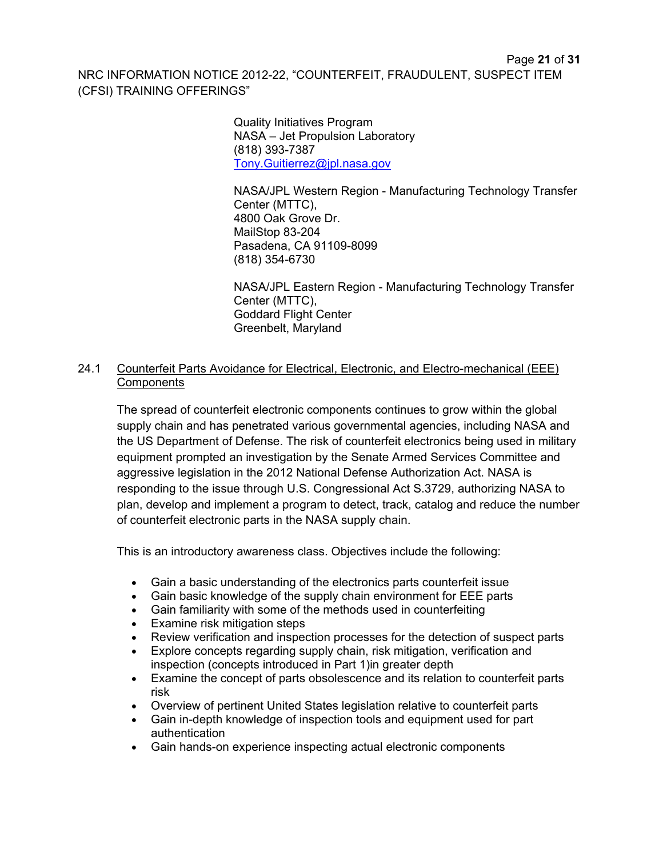Quality Initiatives Program NASA – Jet Propulsion Laboratory (818) 393-7387 Tony.Guitierrez@jpl.nasa.gov

NASA/JPL Western Region - Manufacturing Technology Transfer Center (MTTC), 4800 Oak Grove Dr. MailStop 83-204 Pasadena, CA 91109-8099 (818) 354-6730

 NASA/JPL Eastern Region - Manufacturing Technology Transfer Center (MTTC), Goddard Flight Center Greenbelt, Maryland

## 24.1 Counterfeit Parts Avoidance for Electrical, Electronic, and Electro-mechanical (EEE) **Components**

The spread of counterfeit electronic components continues to grow within the global supply chain and has penetrated various governmental agencies, including NASA and the US Department of Defense. The risk of counterfeit electronics being used in military equipment prompted an investigation by the Senate Armed Services Committee and aggressive legislation in the 2012 National Defense Authorization Act. NASA is responding to the issue through U.S. Congressional Act S.3729, authorizing NASA to plan, develop and implement a program to detect, track, catalog and reduce the number of counterfeit electronic parts in the NASA supply chain.

This is an introductory awareness class. Objectives include the following:

- Gain a basic understanding of the electronics parts counterfeit issue
- Gain basic knowledge of the supply chain environment for EEE parts
- Gain familiarity with some of the methods used in counterfeiting
- Examine risk mitigation steps
- Review verification and inspection processes for the detection of suspect parts
- Explore concepts regarding supply chain, risk mitigation, verification and inspection (concepts introduced in Part 1)in greater depth
- Examine the concept of parts obsolescence and its relation to counterfeit parts risk
- Overview of pertinent United States legislation relative to counterfeit parts
- Gain in-depth knowledge of inspection tools and equipment used for part authentication
- Gain hands-on experience inspecting actual electronic components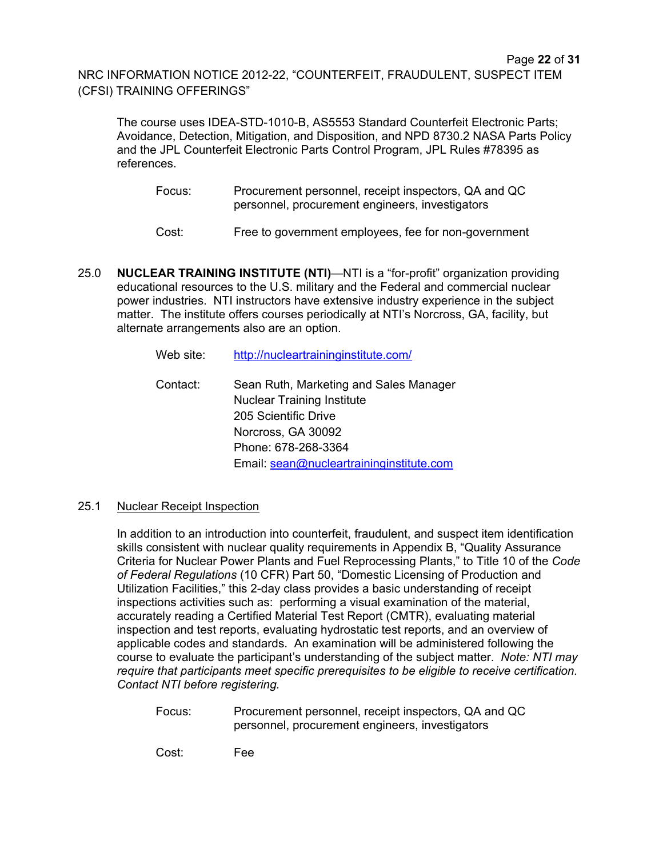The course uses IDEA-STD-1010-B, AS5553 Standard Counterfeit Electronic Parts; Avoidance, Detection, Mitigation, and Disposition, and NPD 8730.2 NASA Parts Policy and the JPL Counterfeit Electronic Parts Control Program, JPL Rules #78395 as references.

- Focus: Procurement personnel, receipt inspectors, QA and QC personnel, procurement engineers, investigators
- Cost: Free to government employees, fee for non-government
- 25.0 **NUCLEAR TRAINING INSTITUTE (NTI)**—NTI is a "for-profit" organization providing educational resources to the U.S. military and the Federal and commercial nuclear power industries. NTI instructors have extensive industry experience in the subject matter. The institute offers courses periodically at NTI's Norcross, GA, facility, but alternate arrangements also are an option.

| Web site: | http://nucleartraininginstitute.com/                                                                |
|-----------|-----------------------------------------------------------------------------------------------------|
| Contact:  | Sean Ruth, Marketing and Sales Manager<br><b>Nuclear Training Institute</b><br>205 Scientific Drive |
|           | Norcross, GA 30092                                                                                  |
|           | Phone: 678-268-3364                                                                                 |
|           | Email: sean@nucleartraininginstitute.com                                                            |

## 25.1 Nuclear Receipt Inspection

In addition to an introduction into counterfeit, fraudulent, and suspect item identification skills consistent with nuclear quality requirements in Appendix B, "Quality Assurance Criteria for Nuclear Power Plants and Fuel Reprocessing Plants," to Title 10 of the *Code of Federal Regulations* (10 CFR) Part 50, "Domestic Licensing of Production and Utilization Facilities," this 2-day class provides a basic understanding of receipt inspections activities such as: performing a visual examination of the material, accurately reading a Certified Material Test Report (CMTR), evaluating material inspection and test reports, evaluating hydrostatic test reports, and an overview of applicable codes and standards. An examination will be administered following the course to evaluate the participant's understanding of the subject matter. *Note: NTI may require that participants meet specific prerequisites to be eligible to receive certification. Contact NTI before registering.*

Focus: Procurement personnel, receipt inspectors, QA and QC personnel, procurement engineers, investigators

Cost: Fee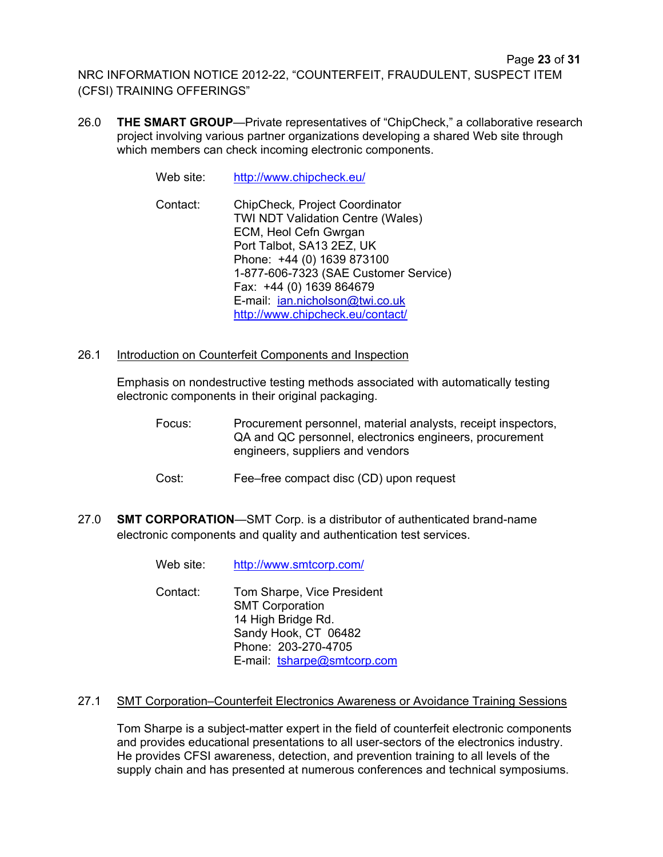- 26.0 **THE SMART GROUP**—Private representatives of "ChipCheck," a collaborative research project involving various partner organizations developing a shared Web site through which members can check incoming electronic components.
	- Web site: http://www.chipcheck.eu/
	- Contact: ChipCheck*,* Project Coordinator TWI NDT Validation Centre (Wales) ECM, Heol Cefn Gwrgan Port Talbot, SA13 2EZ, UK Phone: +44 (0) 1639 873100 1-877-606-7323 (SAE Customer Service) Fax: +44 (0) 1639 864679 E-mail: ian.nicholson@twi.co.uk http://www.chipcheck.eu/contact/
- 26.1 Introduction on Counterfeit Components and Inspection

Emphasis on nondestructive testing methods associated with automatically testing electronic components in their original packaging.

- Focus: Procurement personnel, material analysts, receipt inspectors, QA and QC personnel, electronics engineers, procurement engineers, suppliers and vendors
- Cost: Fee–free compact disc (CD) upon request
- 27.0 **SMT CORPORATION**—SMT Corp. is a distributor of authenticated brand-name electronic components and quality and authentication test services.

| Web site:<br>http://www.smtcorp.com/ |
|--------------------------------------|
|--------------------------------------|

Contact: Tom Sharpe, Vice President SMT Corporation 14 High Bridge Rd. Sandy Hook, CT 06482 Phone: 203-270-4705 E-mail: tsharpe@smtcorp.com

#### 27.1 SMT Corporation–Counterfeit Electronics Awareness or Avoidance Training Sessions

Tom Sharpe is a subject-matter expert in the field of counterfeit electronic components and provides educational presentations to all user-sectors of the electronics industry. He provides CFSI awareness, detection, and prevention training to all levels of the supply chain and has presented at numerous conferences and technical symposiums.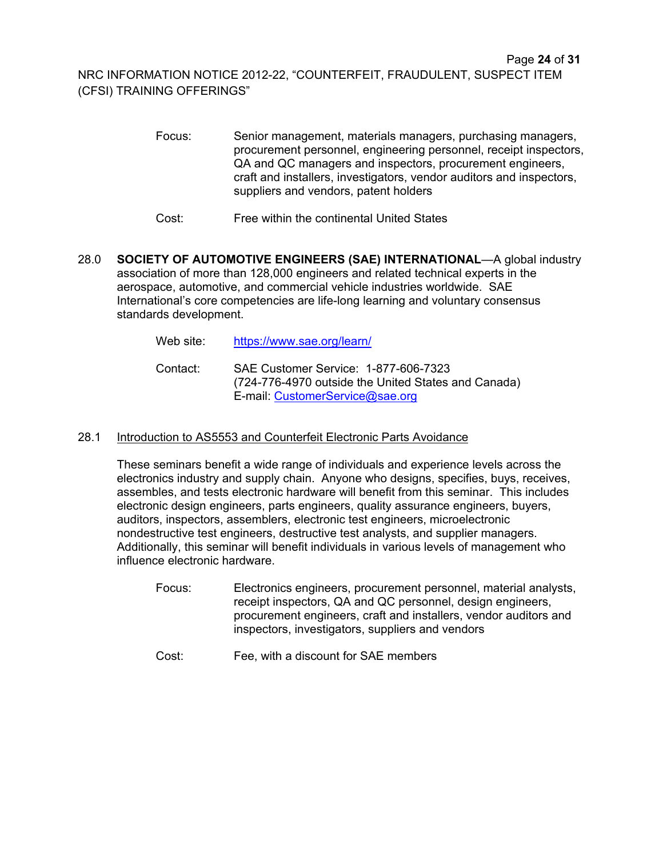- Focus: Senior management, materials managers, purchasing managers, procurement personnel, engineering personnel, receipt inspectors, QA and QC managers and inspectors, procurement engineers, craft and installers, investigators, vendor auditors and inspectors, suppliers and vendors, patent holders
- Cost: Free within the continental United States
- 28.0 **SOCIETY OF AUTOMOTIVE ENGINEERS (SAE) INTERNATIONAL**—A global industry association of more than 128,000 engineers and related technical experts in the aerospace, automotive, and commercial vehicle industries worldwide. SAE International's core competencies are life-long learning and voluntary consensus standards development.

| Web site: l | https://www.sae.org/learn/                                                                                                     |
|-------------|--------------------------------------------------------------------------------------------------------------------------------|
| Contact:    | SAE Customer Service: 1-877-606-7323<br>(724-776-4970 outside the United States and Canada)<br>E-mail: CustomerService@sae.org |

## 28.1 Introduction to AS5553 and Counterfeit Electronic Parts Avoidance

These seminars benefit a wide range of individuals and experience levels across the electronics industry and supply chain. Anyone who designs, specifies, buys, receives, assembles, and tests electronic hardware will benefit from this seminar. This includes electronic design engineers, parts engineers, quality assurance engineers, buyers, auditors, inspectors, assemblers, electronic test engineers, microelectronic nondestructive test engineers, destructive test analysts, and supplier managers. Additionally, this seminar will benefit individuals in various levels of management who influence electronic hardware.

- Focus: Electronics engineers, procurement personnel, material analysts, receipt inspectors, QA and QC personnel, design engineers, procurement engineers, craft and installers, vendor auditors and inspectors, investigators, suppliers and vendors
- Cost: Fee, with a discount for SAE members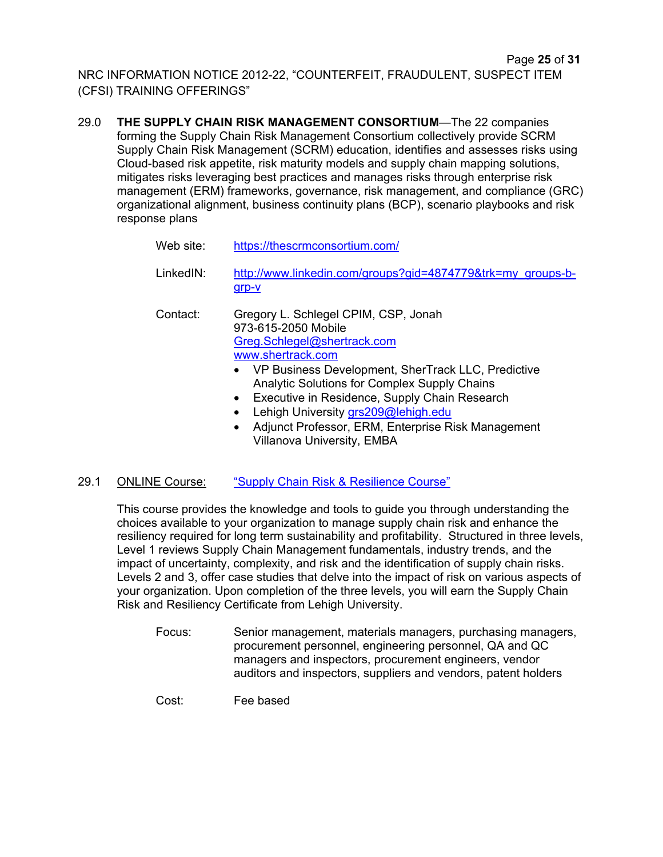29.0 **THE SUPPLY CHAIN RISK MANAGEMENT CONSORTIUM**—The 22 companies forming the Supply Chain Risk Management Consortium collectively provide SCRM Supply Chain Risk Management (SCRM) education, identifies and assesses risks using Cloud-based risk appetite, risk maturity models and supply chain mapping solutions, mitigates risks leveraging best practices and manages risks through enterprise risk management (ERM) frameworks, governance, risk management, and compliance (GRC) organizational alignment, business continuity plans (BCP), scenario playbooks and risk response plans

| Web site: | https://thescrmconsortium.com/                                                                                                                                                                                                                                                                                                                                                                                                      |
|-----------|-------------------------------------------------------------------------------------------------------------------------------------------------------------------------------------------------------------------------------------------------------------------------------------------------------------------------------------------------------------------------------------------------------------------------------------|
| LinkedIN: | http://www.linkedin.com/groups?gid=4874779&trk=my_groups-b-<br>grp-v                                                                                                                                                                                                                                                                                                                                                                |
| Contact:  | Gregory L. Schlegel CPIM, CSP, Jonah<br>973-615-2050 Mobile<br>Greg.Schlegel@shertrack.com<br>www.shertrack.com<br>• VP Business Development, SherTrack LLC, Predictive<br><b>Analytic Solutions for Complex Supply Chains</b><br>Executive in Residence, Supply Chain Research<br>$\bullet$<br>Lehigh University grs209@lehigh.edu<br>Adjunct Professor, ERM, Enterprise Risk Management<br>٠<br><b>Villanova University, EMBA</b> |

## 29.1 ONLINE Course: "Supply Chain Risk & Resilience Course"

This course provides the knowledge and tools to guide you through understanding the choices available to your organization to manage supply chain risk and enhance the resiliency required for long term sustainability and profitability. Structured in three levels, Level 1 reviews Supply Chain Management fundamentals, industry trends, and the impact of uncertainty, complexity, and risk and the identification of supply chain risks. Levels 2 and 3, offer case studies that delve into the impact of risk on various aspects of your organization. Upon completion of the three levels, you will earn the Supply Chain Risk and Resiliency Certificate from Lehigh University.

- Focus: Senior management, materials managers, purchasing managers, procurement personnel, engineering personnel, QA and QC managers and inspectors, procurement engineers, vendor auditors and inspectors, suppliers and vendors, patent holders
- Cost: Fee based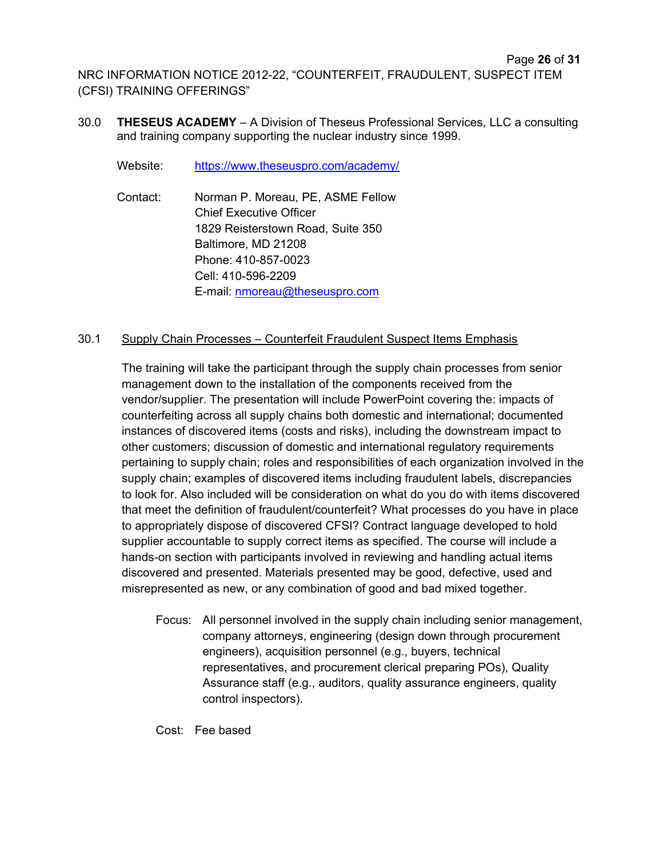30.0 **THESEUS ACADEMY** – A Division of Theseus Professional Services, LLC a consulting and training company supporting the nuclear industry since 1999.

Website: https://www.theseuspro.com/academy/

Contact: Norman P. Moreau, PE, ASME Fellow Chief Executive Officer 1829 Reisterstown Road, Suite 350 Baltimore, MD 21208 Phone: 410-857-0023 Cell: 410-596-2209 E-mail: nmoreau@theseuspro.com

## 30.1 Supply Chain Processes – Counterfeit Fraudulent Suspect Items Emphasis

The training will take the participant through the supply chain processes from senior management down to the installation of the components received from the vendor/supplier. The presentation will include PowerPoint covering the: impacts of counterfeiting across all supply chains both domestic and international; documented instances of discovered items (costs and risks), including the downstream impact to other customers; discussion of domestic and international regulatory requirements pertaining to supply chain; roles and responsibilities of each organization involved in the supply chain; examples of discovered items including fraudulent labels, discrepancies to look for. Also included will be consideration on what do you do with items discovered that meet the definition of fraudulent/counterfeit? What processes do you have in place to appropriately dispose of discovered CFSI? Contract language developed to hold supplier accountable to supply correct items as specified. The course will include a hands-on section with participants involved in reviewing and handling actual items discovered and presented. Materials presented may be good, defective, used and misrepresented as new, or any combination of good and bad mixed together.

Focus: All personnel involved in the supply chain including senior management, company attorneys, engineering (design down through procurement engineers), acquisition personnel (e.g., buyers, technical representatives, and procurement clerical preparing POs), Quality Assurance staff (e.g., auditors, quality assurance engineers, quality control inspectors).

Cost: Fee based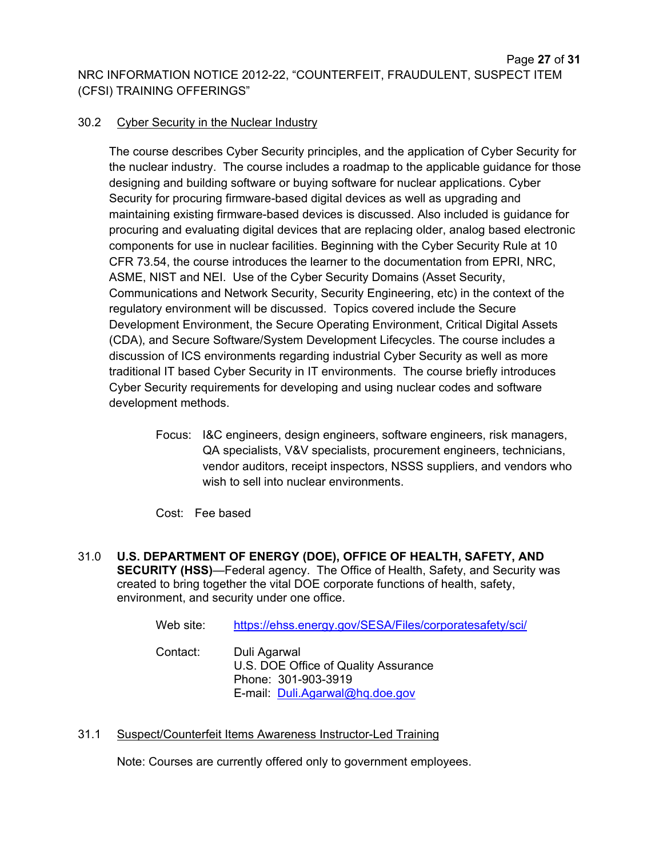## 30.2 Cyber Security in the Nuclear Industry

The course describes Cyber Security principles, and the application of Cyber Security for the nuclear industry. The course includes a roadmap to the applicable guidance for those designing and building software or buying software for nuclear applications. Cyber Security for procuring firmware-based digital devices as well as upgrading and maintaining existing firmware-based devices is discussed. Also included is guidance for procuring and evaluating digital devices that are replacing older, analog based electronic components for use in nuclear facilities. Beginning with the Cyber Security Rule at 10 CFR 73.54, the course introduces the learner to the documentation from EPRI, NRC, ASME, NIST and NEI. Use of the Cyber Security Domains (Asset Security, Communications and Network Security, Security Engineering, etc) in the context of the regulatory environment will be discussed. Topics covered include the Secure Development Environment, the Secure Operating Environment, Critical Digital Assets (CDA), and Secure Software/System Development Lifecycles. The course includes a discussion of ICS environments regarding industrial Cyber Security as well as more traditional IT based Cyber Security in IT environments. The course briefly introduces Cyber Security requirements for developing and using nuclear codes and software development methods.

Focus: I&C engineers, design engineers, software engineers, risk managers, QA specialists, V&V specialists, procurement engineers, technicians, vendor auditors, receipt inspectors, NSSS suppliers, and vendors who wish to sell into nuclear environments.

## Cost: Fee based

31.0 **U.S. DEPARTMENT OF ENERGY (DOE), OFFICE OF HEALTH, SAFETY, AND SECURITY (HSS)**—Federal agency. The Office of Health, Safety, and Security was created to bring together the vital DOE corporate functions of health, safety, environment, and security under one office.

| Web site: | https://ehss.energy.gov/SESA/Files/corporatesafety/sci/                                                        |
|-----------|----------------------------------------------------------------------------------------------------------------|
| Contact:  | Duli Agarwal<br>U.S. DOE Office of Quality Assurance<br>Phone: 301-903-3919<br>E-mail: Duli.Agarwal@hq.doe.gov |

31.1 Suspect/Counterfeit Items Awareness Instructor-Led Training

Note: Courses are currently offered only to government employees.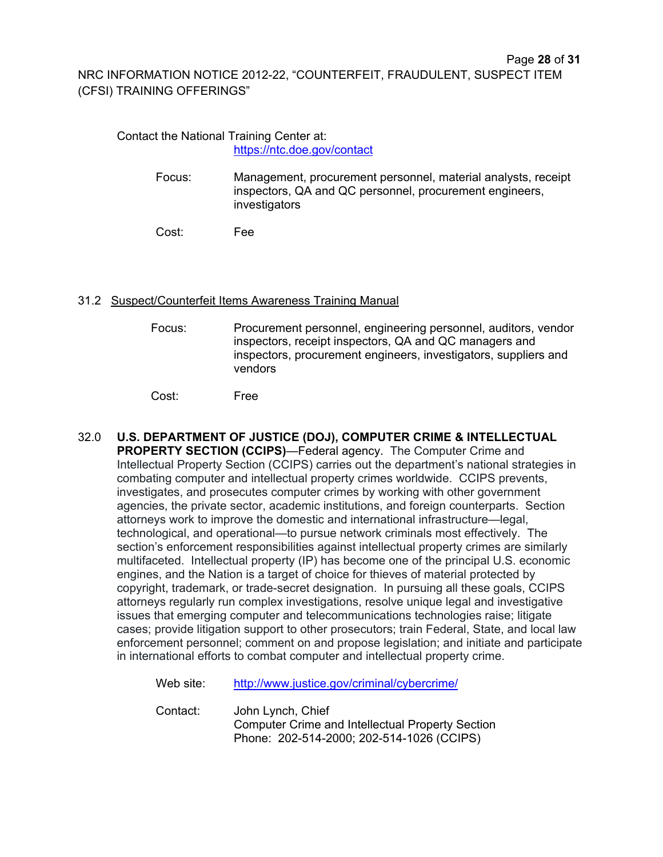#### Contact the National Training Center at: https://ntc.doe.gov/contact

Focus: Management, procurement personnel, material analysts, receipt inspectors, QA and QC personnel, procurement engineers, investigators

Cost: Fee

#### 31.2 Suspect/Counterfeit Items Awareness Training Manual

Focus: Procurement personnel, engineering personnel, auditors, vendor inspectors, receipt inspectors, QA and QC managers and inspectors, procurement engineers, investigators, suppliers and vendors

Cost: Free

32.0 **U.S. DEPARTMENT OF JUSTICE (DOJ), COMPUTER CRIME & INTELLECTUAL PROPERTY SECTION (CCIPS)**—Federal agency. The Computer Crime and Intellectual Property Section (CCIPS) carries out the department's national strategies in combating computer and intellectual property crimes worldwide. CCIPS prevents, investigates, and prosecutes computer crimes by working with other government agencies, the private sector, academic institutions, and foreign counterparts. Section attorneys work to improve the domestic and international infrastructure—legal, technological, and operational—to pursue network criminals most effectively. The section's enforcement responsibilities against intellectual property crimes are similarly multifaceted. Intellectual property (IP) has become one of the principal U.S. economic engines, and the Nation is a target of choice for thieves of material protected by copyright, trademark, or trade-secret designation. In pursuing all these goals, CCIPS attorneys regularly run complex investigations, resolve unique legal and investigative issues that emerging computer and telecommunications technologies raise; litigate cases; provide litigation support to other prosecutors; train Federal, State, and local law enforcement personnel; comment on and propose legislation; and initiate and participate in international efforts to combat computer and intellectual property crime.

Web site: http://www.justice.gov/criminal/cybercrime/

Contact: John Lynch, Chief Computer Crime and Intellectual Property Section Phone: 202-514-2000; 202-514-1026 (CCIPS)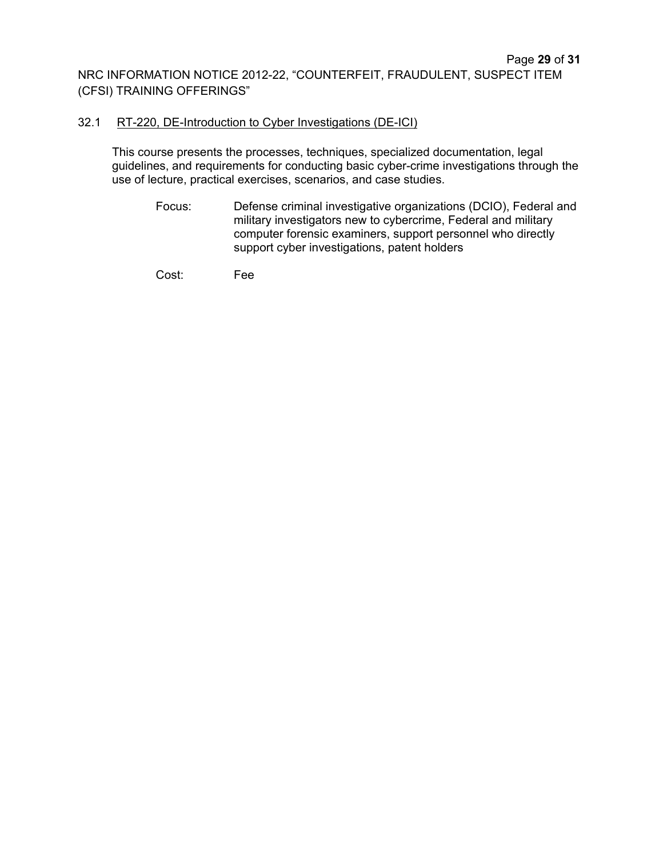#### 32.1 RT-220, DE-Introduction to Cyber Investigations (DE-ICI)

This course presents the processes, techniques, specialized documentation, legal guidelines, and requirements for conducting basic cyber-crime investigations through the use of lecture, practical exercises, scenarios, and case studies.

Focus: Defense criminal investigative organizations (DCIO), Federal and military investigators new to cybercrime, Federal and military computer forensic examiners, support personnel who directly support cyber investigations, patent holders

Cost: Fee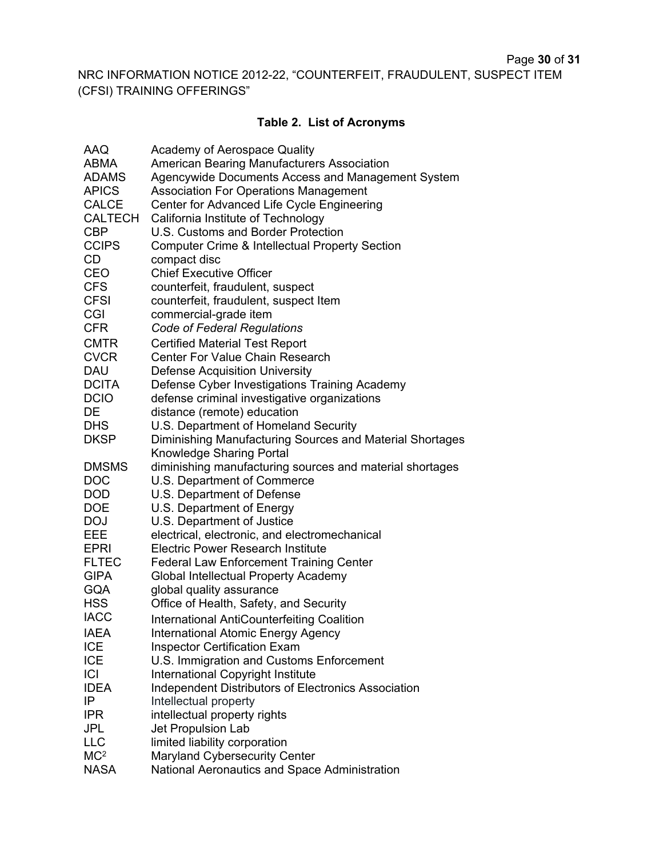## Page **30** of **31**

NRC INFORMATION NOTICE 2012-22, "COUNTERFEIT, FRAUDULENT, SUSPECT ITEM (CFSI) TRAINING OFFERINGS"

# **Table 2. List of Acronyms**

| <b>AAQ</b>      | Academy of Aerospace Quality                               |
|-----------------|------------------------------------------------------------|
| <b>ABMA</b>     | <b>American Bearing Manufacturers Association</b>          |
| <b>ADAMS</b>    | Agencywide Documents Access and Management System          |
| <b>APICS</b>    | <b>Association For Operations Management</b>               |
| <b>CALCE</b>    | Center for Advanced Life Cycle Engineering                 |
| CALTECH         | California Institute of Technology                         |
| CBP             | U.S. Customs and Border Protection                         |
| <b>CCIPS</b>    | <b>Computer Crime &amp; Intellectual Property Section</b>  |
| CD              | compact disc                                               |
| CEO             | <b>Chief Executive Officer</b>                             |
| CFS             | counterfeit, fraudulent, suspect                           |
| <b>CFSI</b>     | counterfeit, fraudulent, suspect Item                      |
| CGI             | commercial-grade item                                      |
| <b>CFR</b>      | Code of Federal Regulations                                |
|                 |                                                            |
| <b>CMTR</b>     | <b>Certified Material Test Report</b>                      |
| <b>CVCR</b>     | <b>Center For Value Chain Research</b>                     |
| DAU             | <b>Defense Acquisition University</b>                      |
| <b>DCITA</b>    | Defense Cyber Investigations Training Academy              |
| <b>DCIO</b>     | defense criminal investigative organizations               |
| DE              | distance (remote) education                                |
| <b>DHS</b>      | U.S. Department of Homeland Security                       |
| <b>DKSP</b>     | Diminishing Manufacturing Sources and Material Shortages   |
|                 | <b>Knowledge Sharing Portal</b>                            |
| <b>DMSMS</b>    | diminishing manufacturing sources and material shortages   |
| DOC             | U.S. Department of Commerce                                |
| <b>DOD</b>      | U.S. Department of Defense                                 |
| <b>DOE</b>      | U.S. Department of Energy                                  |
| <b>DOJ</b>      | U.S. Department of Justice                                 |
| EEE             | electrical, electronic, and electromechanical              |
| <b>EPRI</b>     | <b>Electric Power Research Institute</b>                   |
| <b>FLTEC</b>    | <b>Federal Law Enforcement Training Center</b>             |
| <b>GIPA</b>     | <b>Global Intellectual Property Academy</b>                |
| <b>GQA</b>      | global quality assurance                                   |
| <b>HSS</b>      | Office of Health, Safety, and Security                     |
| <b>IACC</b>     | <b>International AntiCounterfeiting Coalition</b>          |
| <b>IAEA</b>     | <b>International Atomic Energy Agency</b>                  |
| <b>ICE</b>      | <b>Inspector Certification Exam</b>                        |
| <b>ICE</b>      | U.S. Immigration and Customs Enforcement                   |
| CI              | International Copyright Institute                          |
| <b>IDEA</b>     | <b>Independent Distributors of Electronics Association</b> |
| ΙP              | Intellectual property                                      |
| <b>IPR</b>      | intellectual property rights                               |
| JPL             | Jet Propulsion Lab                                         |
| <b>LLC</b>      | limited liability corporation                              |
| MC <sup>2</sup> | Maryland Cybersecurity Center                              |
| <b>NASA</b>     | National Aeronautics and Space Administration              |